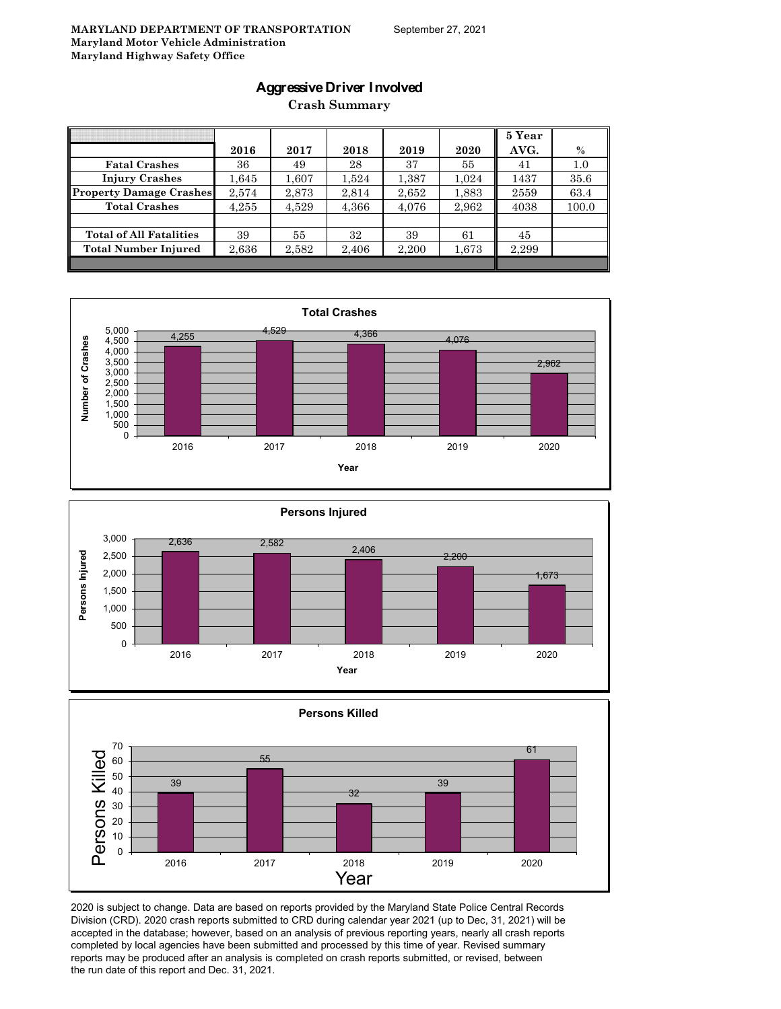### **Aggressive Driver Involved**

**Crash Summary**

|                                | 2016  | 2017  | 2018  | 2019  | 2020  | 5 Year<br>AVG. | $\%$  |
|--------------------------------|-------|-------|-------|-------|-------|----------------|-------|
| <b>Fatal Crashes</b>           | 36    | 49    | 28    | 37    | 55    | 41             | 1.0   |
| <b>Injury Crashes</b>          | 1,645 | 1,607 | 1,524 | 1,387 | 1,024 | 1437           | 35.6  |
| <b>Property Damage Crashes</b> | 2.574 | 2,873 | 2,814 | 2,652 | 1,883 | 2559           | 63.4  |
| <b>Total Crashes</b>           | 4.255 | 4,529 | 4,366 | 4,076 | 2,962 | 4038           | 100.0 |
|                                |       |       |       |       |       |                |       |
| <b>Total of All Fatalities</b> | 39    | 55    | 32    | 39    | 61    | 45             |       |
| <b>Total Number Injured</b>    | 2,636 | 2,582 | 2,406 | 2,200 | 1,673 | 2,299          |       |
|                                |       |       |       |       |       |                |       |







2020 is subject to change. Data are based on reports provided by the Maryland State Police Central Records Division (CRD). 2020 crash reports submitted to CRD during calendar year 2021 (up to Dec, 31, 2021) will be accepted in the database; however, based on an analysis of previous reporting years, nearly all crash reports completed by local agencies have been submitted and processed by this time of year. Revised summary reports may be produced after an analysis is completed on crash reports submitted, or revised, between the run date of this report and Dec. 31, 2021.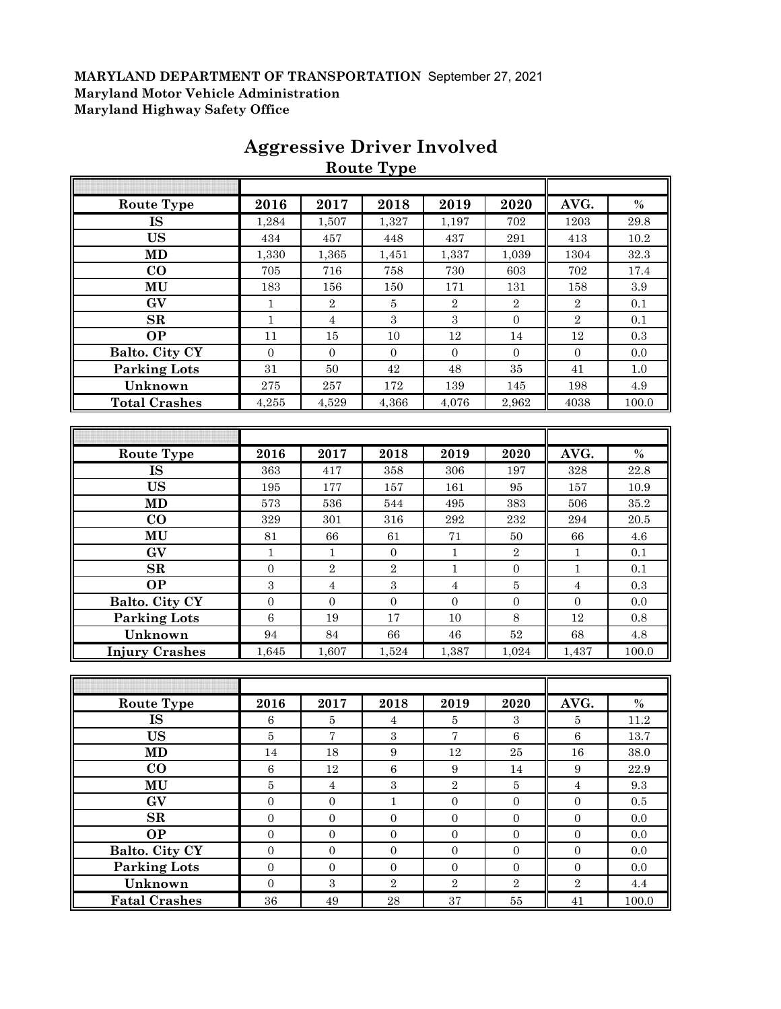|                       |                  |                | <b>Route Type</b> |                  |                  |                |         |
|-----------------------|------------------|----------------|-------------------|------------------|------------------|----------------|---------|
|                       |                  |                |                   |                  |                  |                |         |
| <b>Route Type</b>     | 2016             | 2017           | 2018              | 2019             | 2020             | AVG.           | $\%$    |
| <b>IS</b>             | 1,284            | 1,507          | 1,327             | 1,197            | 702              | 1203           | 29.8    |
| <b>US</b>             | 434              | 457            | 448               | 437              | 291              | 413            | 10.2    |
| <b>MD</b>             | 1,330            | 1,365          | 1,451             | 1,337            | 1,039            | 1304           | 32.3    |
| CO                    | 705              | 716            | 758               | 730              | 603              | 702            | 17.4    |
| MU                    | 183              | 156            | 150               | 171              | 131              | 158            | 3.9     |
| GV                    | 1                | $\,2$          | 5                 | $\,2$            | $\,2$            | $\,2$          | 0.1     |
| SR                    | $\mathbf{1}$     | $\overline{4}$ | $\sqrt{3}$        | $\sqrt{3}$       | $\boldsymbol{0}$ | $\overline{2}$ | 0.1     |
| <b>OP</b>             | 11               | 15             | 10                | 12               | 14               | 12             | 0.3     |
| Balto. City CY        | $\boldsymbol{0}$ | $\mathbf{0}$   | $\mathbf{0}$      | $\boldsymbol{0}$ | $\boldsymbol{0}$ | $\mathbf{0}$   | 0.0     |
| <b>Parking Lots</b>   | 31               | 50             | 42                | 48               | 35               | 41             | 1.0     |
| Unknown               | 275              | 257            | 172               | 139              | 145              | 198            | 4.9     |
| <b>Total Crashes</b>  | 4,255            | 4,529          | 4,366             | 4,076            | 2,962            | 4038           | 100.0   |
|                       |                  |                |                   |                  |                  |                |         |
|                       |                  |                |                   |                  |                  |                |         |
| <b>Route Type</b>     | 2016             | 2017           | 2018              | 2019             | 2020             | AVG.           | $\%$    |
| <b>IS</b>             | 363              | 417            | 358               | 306              | 197              | 328            | 22.8    |
| <b>US</b>             | 195              | 177            | 157               | 161              | 95               | 157            | 10.9    |
| <b>MD</b>             | 573              | 536            | 544               | 495              | 383              | 506            | 35.2    |
| CO                    | 329              | 301            | 316               | 292              | 232              | 294            | 20.5    |
| MU                    | 81               | 66             | 61                | 71               | 50               | 66             | $4.6\,$ |
| GV                    | $\mathbf{1}$     | $\mathbf{1}$   | $\boldsymbol{0}$  | $\mathbf{1}$     | $\,2$            | $\mathbf{1}$   | 0.1     |
| SR                    | $\overline{0}$   | $\overline{2}$ | $\sqrt{2}$        | $\mathbf{1}$     | $\boldsymbol{0}$ | $\mathbf 1$    | 0.1     |
| <b>OP</b>             | $\sqrt{3}$       | $\overline{4}$ | 3                 | $\bf 4$          | $\bf 5$          | $\sqrt{4}$     | 0.3     |
| Balto. City CY        | $\overline{0}$   | $\overline{0}$ | $\overline{0}$    | $\overline{0}$   | $\overline{0}$   | $\mathbf{0}$   | 0.0     |
| <b>Parking Lots</b>   | $\overline{6}$   | 19             | 17                | 10               | 8                | 12             | 0.8     |
| Unknown               | 94               | 84             | 66                | 46               | 52               | 68             | $4.8\,$ |
| <b>Injury Crashes</b> | 1,645            | 1,607          | 1,524             | 1,387            | 1,024            | 1,437          | 100.0   |
|                       |                  |                |                   |                  |                  |                |         |
|                       |                  |                |                   |                  |                  |                |         |
| <b>Route Type</b>     | 2016             | 2017           | 2018              | 2019             | 2020             | AVG.           | $\%$    |
| <b>IS</b>             | 6                | 5              | 4                 | 5                | 3                | 5              | 11.2    |

# **Aggressive Driver Involved**

| <b>MD</b>             | 573            | 536          | 544            | 495            | 383            | 506          | 35.2    |
|-----------------------|----------------|--------------|----------------|----------------|----------------|--------------|---------|
| $\bf{CO}$             | 329            | 301          | 316            | 292            | 232            | 294          | 20.5    |
| MU                    | 81             | 66           | 61             | 71             | 50             | 66           | 4.6     |
| GV                    | $\mathbf{1}$   | $\mathbf{1}$ | $\mathbf{0}$   | $\mathbf{1}$   | $\overline{2}$ | 1            | 0.1     |
| $_{\rm SR}$           | $\Omega$       | $\,2$        | $\sqrt{2}$     | $\mathbf{1}$   | $\mathbf{0}$   | 1            | 0.1     |
| <b>OP</b>             | 3              | 4            | 3              | 4              | 5              | 4            | 0.3     |
| Balto. City CY        | $\Omega$       | $\Omega$     | $\mathbf{0}$   | $\Omega$       | $\overline{0}$ | $\Omega$     | 0.0     |
| <b>Parking Lots</b>   | 6              | 19           | 17             | 10             | 8              | 12           | 0.8     |
| Unknown               | 94             | 84           | 66             | 46             | 52             | 68           | 4.8     |
| <b>Injury Crashes</b> | 1,645          | 1,607        | 1,524          | 1,387          | 1,024          | 1,437        | 100.0   |
|                       |                |              |                |                |                |              |         |
|                       |                |              |                |                |                |              |         |
|                       |                |              |                |                |                |              |         |
| <b>Route Type</b>     | 2016           | 2017         | 2018           | 2019           | 2020           | AVG.         | $\%$    |
| <b>IS</b>             | 6              | 5            | $\overline{4}$ | 5              | 3              | 5            | 11.2    |
| <b>US</b>             | $\overline{5}$ | 7            | 3              | $\overline{7}$ | 6              | 6            | 13.7    |
| MD                    | 14             | 18           | 9              | 12             | 25             | 16           | 38.0    |
| $\bf CO$              | 6              | 12           | 6              | 9              | 14             | 9            | 22.9    |
| MU                    | $\overline{5}$ | 4            | 3              | 2              | 5              | 4            | 9.3     |
| GV                    | $\mathbf{0}$   | $\mathbf{0}$ | $\mathbf{1}$   | $\overline{0}$ | $\mathbf{0}$   | $\mathbf{0}$ | $0.5\,$ |

**OP** 0 0 0 0 0 0 0.0 **Balto. City CY** 0 0 0 0 0 0 0.0 **Parking Lots** 0 0 0 0 0 0 0.0 **Unknown** 0 3 2 2 2 2 4.4 **Fatal Crashes** 36 49 28 37 55 41 100.0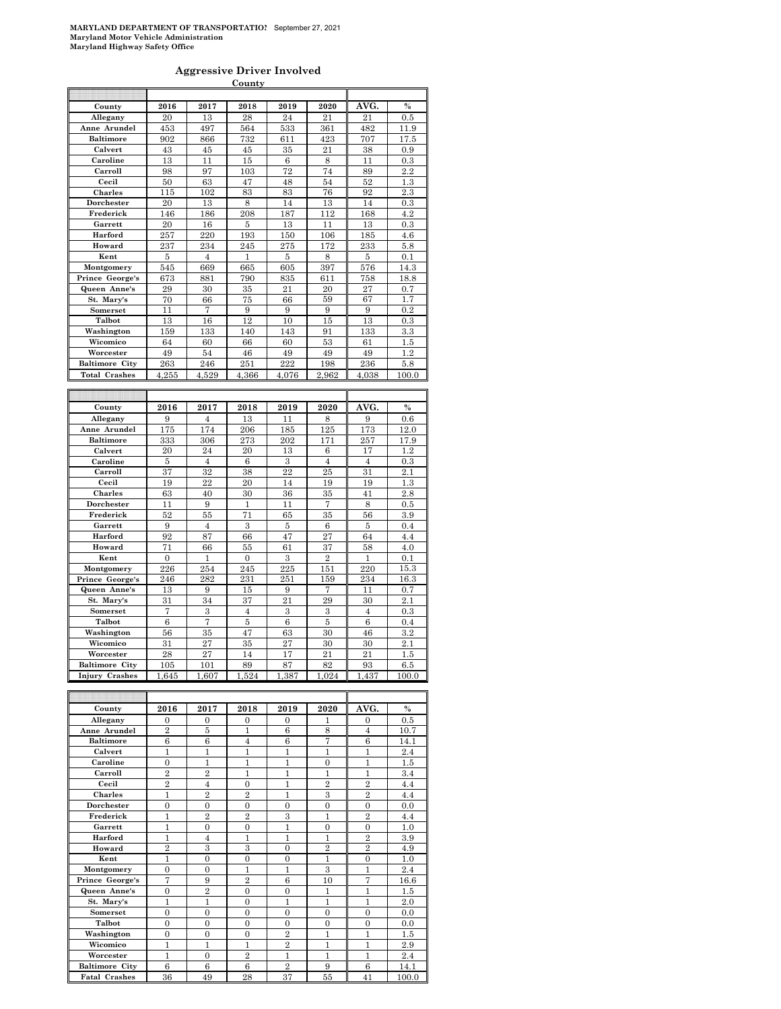#### **Aggressive Driver Involved**

|                               |                      |                      | County                 |         |                      |                    |            |
|-------------------------------|----------------------|----------------------|------------------------|---------|----------------------|--------------------|------------|
|                               |                      |                      |                        |         |                      |                    |            |
| County                        | 2016                 | 2017                 | 2018                   | 2019    | 2020                 | AVG.               | $\%$       |
| Allegany                      | 20                   | 13                   | 28                     | 24      | 21                   | 21                 | 0.5        |
| Anne Arundel                  | 453                  | 497                  | 564                    | 533     | 361                  | 482                | 11.9       |
| <b>Baltimore</b>              | 902                  | 866                  | 732                    | 611     | 423                  | 707                | 17.5       |
| Calvert                       | 43                   | 45                   | 45                     | 35      | 21                   | 38                 | 0.9        |
| Caroline                      | 13                   | 11                   | 15                     | 6       | 8                    | 11                 | 0.3        |
| Carroll                       | 98                   | 97                   | 103                    | 72      | 74                   | 89                 | 2.2        |
| Cecil                         | 50                   | 63                   | 47                     | 48      | 54                   | 52                 | 1.3        |
| <b>Charles</b>                | 115                  | 102                  | 83                     | 83      | 76                   | 92                 | 2.3        |
| Dorchester                    | 20                   | 13                   | 8                      | 14      | 13                   | 14                 | 0.3        |
| Frederick                     | 146                  | 186                  | 208                    | 187     | 112                  | 168                | 4.2        |
| Garrett                       | 20                   | 16                   | 5                      | 13      | 11                   | 13                 | 0.3        |
| Harford                       | 257                  | 220                  | 193                    | 150     | 106                  | 185                | 4.6        |
| Howard                        | 237                  | 234                  | 245                    | 275     | 172                  | 233                | 5.8        |
| Kent                          | 5                    | 4                    | 1                      | 5       | 8                    | 5                  | 0.1        |
| Montgomery                    | 545                  | 669                  | 665                    | 605     | 397                  | 576                | 14.3       |
| Prince George's               | 673                  | 881                  | 790                    | 835     | 611                  | 758                | 18.8       |
| Queen Anne's                  | 29                   | 30                   | 35                     | 21      | 20                   | 27                 | 0.7        |
| St. Mary's                    | 70                   | 66                   | 75                     | 66      | 59                   | 67                 | 1.7        |
| Somerset                      | 11                   | 7                    | 9                      | 9       | 9                    | 9                  | 0.2        |
| Talbot                        | 13                   | 16                   | 12                     | 10      | 15                   | 13                 | 0.3        |
| Washington                    | 159                  | 133                  | 140                    | 143     | 91                   | 133                | 3.3        |
| Wicomico                      | 64                   | 60                   | 66                     | 60      | 53                   | 61                 | 1.5        |
| Worcester                     | 49                   | 54                   | 46                     | 49      | 49                   | 49                 | 1.2        |
| <b>Baltimore City</b>         | 263                  | 246                  | 251                    | 222     | 198                  | 236                | 5.8        |
| <b>Total Crashes</b>          | 4,255                | 4,529                | 4,366                  | 4,076   | 2,962                | 4,038              | 100.0      |
|                               |                      |                      |                        |         |                      |                    |            |
|                               |                      |                      |                        |         |                      |                    |            |
|                               |                      |                      |                        |         |                      |                    |            |
| County                        | 2016                 | 2017                 | 2018                   | 2019    | 2020                 | AVG.               | $\%$       |
| Allegany                      | 9                    | $\overline{4}$       | 13                     | 11      | 8                    | 9                  | 0.6        |
| Anne Arundel                  | 175                  | 174                  | 206                    | 185     | 125                  | 173                | 12.0       |
| <b>Baltimore</b>              | 333                  | 306                  | $^{273}$               | 202     | 171                  | 257                | 17.9       |
| Calvert                       | 20                   | 24                   | 20                     | 13      | 6                    | 17                 | 1.2        |
| Caroline                      | 5                    | $\overline{4}$       | 6                      | 3       | $\overline{4}$       | $\overline{4}$     | $_{0.3}$   |
| Carroll                       | 37                   | 32                   | 38                     | 22      | 25                   | 31                 | 2.1        |
| Cecil                         | 19                   | 22                   | $^{20}$                | 14      | 19                   | 19                 | 1.3        |
| <b>Charles</b>                | 63                   | 40                   | 30                     | 36      | 35                   | 41                 | 2.8        |
| Dorchester                    | 11                   | 9                    | $\mathbf{1}$           | 11      | 7                    | 8                  | 0.5        |
| Frederick<br>Garrett          | 52<br>9              | 55<br>$\overline{4}$ | 71<br>3                | 65      | 35                   | 56<br>5            | 3.9<br>0.4 |
| Harford                       |                      |                      |                        | 5       | 6                    |                    |            |
|                               | 92                   | 87                   | 66                     | 47      | 27                   | 64                 | 4.4        |
| Howard<br>Kent                | 71<br>$\overline{0}$ | 66<br>$\mathbf{1}$   | 55<br>$\boldsymbol{0}$ | 61<br>3 | 37<br>$\overline{2}$ | 58<br>$\mathbf{1}$ | 4.0<br>0.1 |
|                               | 226                  | 254                  | 245                    | 225     | 151                  | 220                | 15.3       |
| Montgomery<br>Prince George's | 246                  | 282                  | 231                    | 251     | 159                  | 234                | 16.3       |
| Queen Anne's                  | 13                   | 9                    | 15                     | 9       | 7                    | 11                 | 0.7        |
| St. Mary's                    | 31                   | 34                   | 37                     | 21      | 29                   | 30                 | 2.1        |
| Somerset                      | $\overline{7}$       | 3                    | 4                      | 3       | 3                    | $\overline{4}$     | 0.3        |
| Talbot                        | 6                    | $\overline{7}$       | 5                      | 6       | 5                    | 6                  | 0.4        |
| Washington                    | 56                   | 35                   | 47                     | 63      | 30                   | 46                 | 3.2        |
| Wicomico                      | 31                   | 27                   | 35                     | 27      | 30                   | 30                 | 2.1        |
| Worcester                     | 28                   | 27                   | 14                     | 17      | 21                   | 21                 | 1.5        |
| <b>Baltimore City</b>         | 105                  | 101                  | 89                     | 87      | 82                   | 93                 | 6.5        |
| Injury Crashes                | 1,645                | 1,607                | 1,524                  | 1,387   | 1,024                | 1,437              | 100.0      |

| County                | 2016           | 2017           | 2018           | 2019           | 2020           | AVG.           | $\%$  |
|-----------------------|----------------|----------------|----------------|----------------|----------------|----------------|-------|
| Allegany              | $\Omega$       | $\Omega$       | $\Omega$       | $\Omega$       | 1              | $\Omega$       | 0.5   |
| Anne Arundel          | $\overline{2}$ | 5              | 1              | 6              | 8              | $\overline{4}$ | 10.7  |
| <b>Baltimore</b>      | 6              | 6              | $\overline{4}$ | 6              | 7              | 6              | 14.1  |
| Calvert               | 1              | 1              | 1              | 1              | 1              | 1              | 2.4   |
| Caroline              | $\overline{0}$ | 1              | 1              | 1              | $\Omega$       | 1              | 1.5   |
| Carroll               | $\overline{2}$ | $\overline{2}$ | 1              | 1              | 1              | 1              | 3.4   |
| Cecil                 | $\overline{2}$ | $\overline{4}$ | $\theta$       | 1              | $\overline{2}$ | $\overline{2}$ | 4.4   |
| <b>Charles</b>        | 1              | $\overline{2}$ | $\overline{2}$ | 1              | 3              | $\overline{2}$ | 4.4   |
| Dorchester            | $\overline{0}$ | $\theta$       | $\theta$       | $\Omega$       | $\overline{0}$ | $\overline{0}$ | 0.0   |
| Frederick             | 1              | $\overline{2}$ | $\overline{2}$ | 3              | 1              | $\overline{2}$ | 4.4   |
| Garrett               | $\mathbf{1}$   | $\theta$       | $\Omega$       | 1              | $\theta$       | $\Omega$       | 1.0   |
| Harford               | 1              | $\overline{4}$ | 1              | 1              | 1              | $\overline{2}$ | 3.9   |
| Howard                | $\overline{2}$ | 3              | 3              | $\theta$       | $\overline{2}$ | $\overline{2}$ | 4.9   |
| Kent                  | 1              | $\theta$       | $\theta$       | $\Omega$       | 1              | $\overline{0}$ | 1.0   |
| Montgomery            | $\overline{0}$ | $\theta$       | $\mathbf{1}$   | $\mathbf{1}$   | 3              | $\overline{1}$ | 2.4   |
| Prince George's       | 7              | 9              | $\overline{2}$ | 6              | 10             | 7              | 16.6  |
| Queen Anne's          | $\overline{0}$ | $\overline{2}$ | $\Omega$       | $\theta$       | 1              | $\mathbf{1}$   | 1.5   |
| St. Mary's            | 1              | 1              | $\theta$       | 1              | 1              | 1              | 2.0   |
| <b>Somerset</b>       | $\Omega$       | $\theta$       | $\theta$       | $\Omega$       | $\theta$       | $\Omega$       | 0.0   |
| Talbot                | $\theta$       | $\theta$       | $\theta$       | $\Omega$       | $\Omega$       | $\Omega$       | 0.0   |
| Washington            | $\theta$       | $\theta$       | $\theta$       | $\overline{2}$ | 1              | 1              | 1.5   |
| Wicomico              | 1              | 1              | 1              | $\overline{2}$ | 1              | 1              | 2.9   |
| Worcester             | $\mathbf{1}$   | $\theta$       | $\overline{2}$ | 1              | 1              | 1              | 2.4   |
| <b>Baltimore City</b> | 6              | 6              | 6              | $\overline{2}$ | 9              | 6              | 14.1  |
| <b>Fatal Crashes</b>  | 36             | 49             | 28             | 37             | 55             | 41             | 100.0 |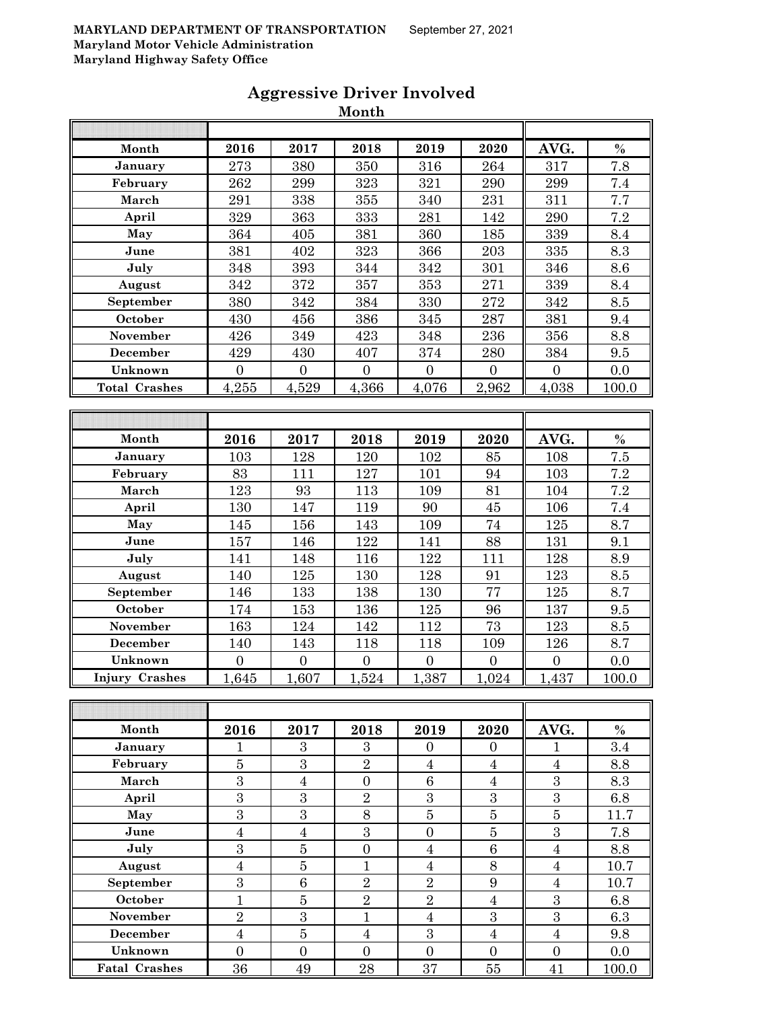|                      |                  |                    | Month            |                  |                  |                  |                  |
|----------------------|------------------|--------------------|------------------|------------------|------------------|------------------|------------------|
|                      |                  |                    |                  |                  |                  |                  |                  |
| Month                | 2016             | 2017               | 2018             | 2019             | 2020             | AVG.             | $\%$             |
| January              | 273              | 380                | 350              | 316              | 264              | 317              | $\overline{7.8}$ |
| February             | 262              | 299                | 323              | 321              | 290              | 299              | 7.4              |
| March                | 291              | 338                | 355              | 340              | 231              | 311              | 7.7              |
| April                | 329              | 363                | 333              | 281              | 142              | 290              | 7.2              |
| May                  | 364              | 405                | 381              | 360              | 185              | 339              | 8.4              |
| June                 | 381              | 402                | 323              | 366              | 203              | 335              | 8.3              |
| July                 | 348              | 393                | 344              | 342              | 301              | 346              | 8.6              |
| August               | 342              | 372                | $357\,$          | 353              | 271              | 339              | 8.4              |
| September            | 380              | 342                | 384              | 330              | 272              | 342              | 8.5              |
| October              | 430              | 456                | 386              | 345              | 287              | 381              | 9.4              |
| November             | 426              | 349                | 423              | 348              | 236              | 356              | 8.8              |
| December             | 429              | 430                | 407              | 374              | 280              | 384              | 9.5              |
| Unknown              | $\overline{0}$   | $\boldsymbol{0}$   | $\boldsymbol{0}$ | $\boldsymbol{0}$ | $\boldsymbol{0}$ | $\boldsymbol{0}$ | 0.0              |
| <b>Total Crashes</b> | 4,255            | 4,529              | 4,366            | 4,076            | 2,962            | 4,038            | 100.0            |
|                      |                  |                    |                  |                  |                  |                  |                  |
|                      |                  |                    |                  |                  |                  |                  |                  |
| Month                | 2016             | 2017               | 2018             | 2019             | 2020             | AVG.             | $\%$             |
| January              | 103              | 128                | 120              | 102              | 85               | 108              | 7.5              |
| February             | 83               | 111                | 127              | 101              | 94               | 103              | 7.2              |
| March                | 123              | 93                 | 113              | 109              | 81               | 104              | 7.2              |
| April                | 130              | 147                | 119              | 90               | 45               | 106              | 7.4              |
| May                  | 145              | 156                | 143              | 109              | 74               | 125              | 8.7              |
| June                 | 157              | 146                | 122              | 141              | 88               | 131              | 9.1              |
| July                 | 141              | 148                | 116              | 122              | 111              | 128              | 8.9              |
| August               | 140              | 125                | 130              | 128              | 91               | 123              | 8.5              |
| September            | 146              | 133                | 138              | 130              | 77               | 125              | 8.7              |
| October              | 174              | 153                | 136              | 125              | 96               | 137              | 9.5              |
| November             | 163              | 124                | 142              | 112              | 73               | 123              | 8.5              |
| <b>December</b>      | 140              | 143                | 118              | 118              | 109              | 126              | 8.7              |
| Unknown              | $\overline{0}$   | $\boldsymbol{0}$   | $\boldsymbol{0}$ | $\boldsymbol{0}$ | $\boldsymbol{0}$ | $\boldsymbol{0}$ | 0.0              |
| Injury Crashes       | 1,645            | $\overline{1,607}$ | 1,524            | 1,387            | 1,024            | 1,437            | 100.0            |
|                      |                  |                    |                  |                  |                  |                  |                  |
|                      |                  |                    |                  |                  |                  |                  |                  |
| Month                | 2016             | 2017               | 2018             | 2019             | 2020             | AVG.             | $\%$             |
| January              | 1                | 3                  | 3                | $\overline{0}$   | $\overline{0}$   | $\mathbf{1}$     | 3.4              |
| February             | $\bf 5$          | 3                  | $\overline{2}$   | $\boldsymbol{4}$ | $\boldsymbol{4}$ | $\overline{4}$   | 8.8              |
| March                | $\overline{3}$   | $\bf 4$            | $\boldsymbol{0}$ | $\,6\,$          | $\overline{4}$   | $\boldsymbol{3}$ | 8.3              |
| April                | 3                | 3                  | $\overline{2}$   | $\sqrt{3}$       | $\boldsymbol{3}$ | $\sqrt{3}$       | 6.8              |
| May                  | $\overline{3}$   | $\overline{3}$     | 8                | $\bf 5$          | $\overline{5}$   | $\bf 5$          | 11.7             |
| June                 | $\overline{4}$   | $\overline{4}$     | 3                | $\mathbf{0}$     | $\bf 5$          | 3                | 7.8              |
| July                 | $\boldsymbol{3}$ | $\bf 5$            | $\boldsymbol{0}$ | $\bf 4$          | $\,6\,$          | $\overline{4}$   | 8.8              |
| August               | $\overline{4}$   | $\bf 5$            | $\mathbf{1}$     | $\overline{4}$   | $8\,$            | $\overline{4}$   | 10.7             |
| September            | 3                | $\,6$              | $\overline{2}$   | $\overline{2}$   | 9                | $\overline{4}$   | 10.7             |

**October** 1 1 5 2 2 4 3 6.8 **November** 2 3 3 1 4 3 3 6.3 **December** 4 5 4 3 4 4 9.8 **Unknown** 0 0 0 0 0 0 0.0 **Fatal Crashes** 36 49 28 37 55 41 100.0

## **Aggressive Driver Involved**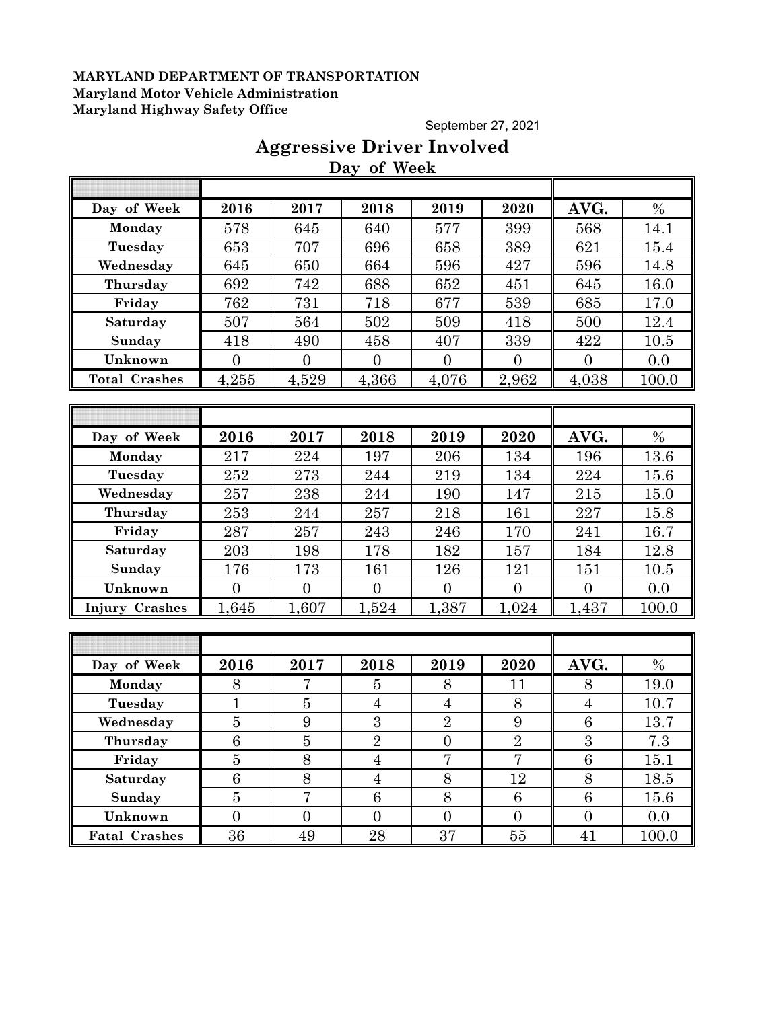September 27, 2021

## **Aggressive Driver Involved Day of Week**

| Day of Week           | 2016           | 2017           | 2018           | 2019           | 2020           | AVG.             | $\%$          |
|-----------------------|----------------|----------------|----------------|----------------|----------------|------------------|---------------|
| Monday                | 578            | 645            | 640            | 577            | 399            | 568              | 14.1          |
| Tuesday               | 653            | 707            | 696            | 658            | 389            | 621              | 15.4          |
| Wednesday             | 645            | 650            | 664            | 596            | 427            | 596              | 14.8          |
| Thursday              | 692            | 742            | 688            | 652            | 451            | 645              | 16.0          |
| Friday                | 762            | 731            | 718            | 677            | 539            | 685              | 17.0          |
| Saturday              | 507            | 564            | 502            | 509            | 418            | 500              | 12.4          |
| Sunday                | 418            | 490            | 458            | 407            | 339            | 422              | 10.5          |
| Unknown               | $\overline{0}$ | $\overline{0}$ | $\overline{0}$ | $\overline{0}$ | $\overline{0}$ | $\overline{0}$   | 0.0           |
| <b>Total Crashes</b>  | 4,255          | 4,529          | 4,366          | 4,076          | 2,962          | 4,038            | 100.0         |
|                       |                |                |                |                |                |                  |               |
|                       |                |                |                |                |                |                  |               |
| Day of Week           | 2016           | 2017           | 2018           | 2019           | 2020           | AVG.             | $\frac{0}{0}$ |
| Monday                | 217            | 224            | 197            | 206            | 134            | 196              | 13.6          |
| Tuesday               | 252            | 273            | 244            | 219            | 134            | 224              | 15.6          |
| Wednesday             | 257            | 238            | 244            | 190            | 147            | 215              | 15.0          |
| Thursday              | 253            | 244            | 257            | 218            | 161            | 227              | 15.8          |
| Friday                | 287            | 257            | 243            | 246            | 170            | 241              | 16.7          |
| Saturday              | 203            | 198            | 178            | 182            | 157            | 184              | 12.8          |
| Sunday                | 176            | 173            | 161            | 126            | 121            | 151              | 10.5          |
| Unknown               | $\overline{0}$ | $\overline{0}$ | $\overline{0}$ | $\overline{0}$ | $\overline{0}$ | $\overline{0}$   | 0.0           |
| <b>Injury Crashes</b> | 1,645          | 1,607          | 1,524          | 1,387          | 1,024          | 1,437            | 100.0         |
|                       |                |                |                |                |                |                  |               |
|                       |                |                |                |                |                |                  |               |
| Day of Week           | 2016           | 2017           | 2018           | 2019           | 2020           | AVG.             | $\%$          |
| Monday                | 8              | 7              | $\overline{5}$ | 8              | 11             | 8                | 19.0          |
| Tuesday               | $\overline{1}$ | $\overline{5}$ | $\overline{4}$ | $\overline{4}$ | 8              | $\overline{4}$   | 10.7          |
| Wednesday             | $\overline{5}$ | $\overline{9}$ | $\overline{3}$ | $\overline{2}$ | 9              | $\boldsymbol{6}$ | 13.7          |
| Thursday              | $\overline{6}$ | $\overline{5}$ | $\overline{2}$ | $\overline{0}$ | $\overline{2}$ | $\overline{3}$   | 7.3           |
| Friday                | $\bf 5$        | 8              | $\overline{4}$ | 7              | 7              | $6\phantom{.}6$  | 15.1          |
| Saturday              | 6              | 8              | $\overline{4}$ | 8              | 12             | 8                | 18.5          |
| Sunday                | $\overline{5}$ | $\overline{7}$ | $\,6\,$        | $8\,$          | $\,6\,$        | $\,6\,$          | 15.6          |
| Unknown               | $\overline{0}$ | $\overline{0}$ | $\overline{0}$ | $\overline{0}$ | $\overline{0}$ | $\overline{0}$   | 0.0           |
| <b>Fatal Crashes</b>  | 36             | 49             | 28             | 37             | $55\,$         | 41               | 100.0         |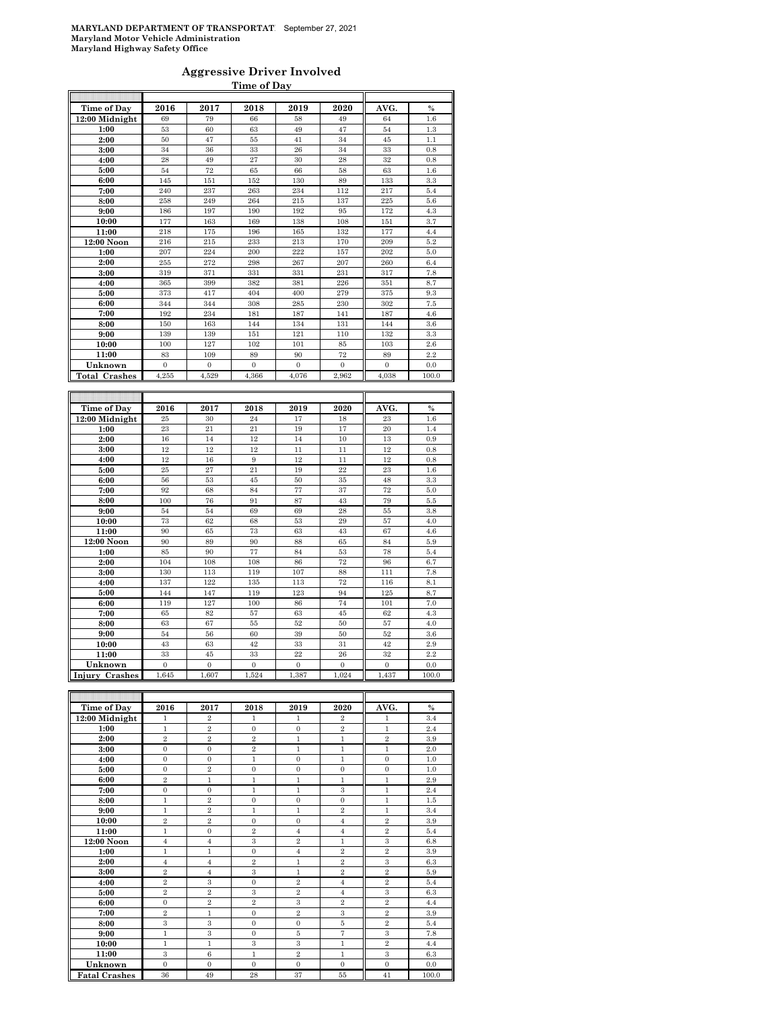### **Aggressive Driver Involved Time of Day**

| Time of Day               | 2016           | 2017           | 2018           | 2019             | 2020           | AVG.           | $\frac{0}{0}$ |
|---------------------------|----------------|----------------|----------------|------------------|----------------|----------------|---------------|
| 12:00 Midnight            | 69             | 79             | 66             | 58               | 49             | 64             | 1.6           |
| 1:00                      | 53             | 60             | 63             | 49               | 47             | 54             | 1.3           |
| 2:00                      | 50             | 47             | 55             | 41               | 34             | 45             | 1.1           |
| 3:00                      | 34             | 36             | 33             | 26               | 34             | 33             | 0.8           |
| 4:00                      | 28             | 49             | 27             | 30               | 28             | 32             | 0.8           |
| 5:00                      | 54             | 72             | 65             | 66               | 58             | 63             | 1.6           |
| 6:00                      | 145            | 151            | 152            | 130              | 89             | 133            | $\!3.3\!$     |
| 7:00                      | 240            | 237            | 263            | 234              | 112            | 217            | 5.4           |
| 8:00                      | 258            | 249            | 264            | 215              | 137            | 225            | 5.6           |
| 9:00                      | 186            | 197            | 190            | 192              | 95             | 172            | 4.3           |
| 10:00                     | 177            | 163            | 169            | 138              | 108            | 151            | 3.7           |
| 11:00                     | 218            | 175            | 196            | 165              | 132            | 177            | 4.4           |
| 12:00 Noon                | 216            | 215            | 233            | 213              | 170            | 209            | 5.2           |
| 1:00                      | 207            | 224            | 200            | 222              | 157            | 202            | 5.0           |
| 2:00                      | 255            | 272            | 298            | 267              | 207            | 260            | 6.4           |
| 3:00                      | 319            | 371            | 331            | 331              | 231            | 317            | 7.8           |
| 4:00                      | 365            | 399            | 382            | 381              | 226            | 351            | 8.7           |
| 5:00                      | 373            | 417            | 404            | 400              | 279            | 375            | 9.3           |
| 6:00                      | 344            | 344            | 308            | 285              | 230            | 302            | 7.5           |
| 7:00                      | 192            | 234            | 181            | 187              | 141            | 187            | 4.6           |
| 8:00                      | 150            | 163            | 144            | 134              | 131            | 144            | 3.6           |
| 9:00                      | 139            | 139            | 151            | 121              | 110            | 132            | 3.3           |
| 10:00                     | 100            | 127            | 102            | 101              | 85             | 103            | 2.6           |
| 11:00                     | 83             | 109            | 89             | 90               | 72             | 89             | 2.2           |
| Unknown                   | $\overline{0}$ | $\overline{0}$ | $\overline{0}$ | $\overline{0}$   | $\overline{0}$ | $\overline{0}$ | 0.0           |
| <b>Total Crashes</b>      | 4,255          | 4,529          | 4,366          | 4,076            | 2.962          | 4,038          | 100.0         |
|                           |                |                |                |                  |                |                |               |
|                           |                |                |                |                  |                |                |               |
|                           |                |                |                |                  |                |                |               |
| Time of Day               | 2016           | 2017           | 2018           | 2019             | 2020           | AVG.           | $\%$          |
| 12:00 Midnight            | $\rm 25$       | 30             | 24             | 17               | 18             | 23             | 1.6           |
| 1:00                      | 23             | 21             | 21             | 19               | 17             | 20             | 1.4           |
| 2:00                      | 16             | 14             | 12             | 14               | 10             | 13             | 0.9           |
| 3:00                      | 12             | 12             | 12             | 11               | 11             | 12             | 0.8           |
| 4:00                      | 12             | 16             | 9              | 12               | 11             | 12             | 0.8           |
| 5:00                      | 25             | 27             | 21             | 19               | 22             | 23             | 1.6           |
| 6:00                      | 56             | 53             | 45             | 50               | $35\,$         | 48             | 3.3           |
| 7:00                      | 92             | 68             | 84             | 77               | 37             | 72             | 5.0           |
| 8:00                      | 100            | 76             | 91             | 87               | 43             | 79             | 5.5           |
| 9:00                      | 54             | 54             | 69             | 69               | 28             | 55             | 3.8           |
| 10:00                     | 73<br>90       | 62             | 68             | 53               | 29             | 57             | 4.0           |
| 11:00                     | 90             | 65<br>89       | 73<br>90       | 63<br>88         | 43<br>65       | 67<br>84       | 4.6<br>5.9    |
| 12:00 Noon                |                |                |                |                  |                |                |               |
| 1:00<br>2:00              | 85<br>104      | 90<br>108      | 77<br>108      | 84<br>86         | 53<br>72       | 78<br>96       | 5.4<br>6.7    |
| 3:00                      | 130            | 113            | 119            | 107              | 88             | 111            | 7.8           |
|                           | 137            | 122            | 135            | 113              | 72             | 116            | 8.1           |
| 4:00<br>5:00              | 144            | 147            | 119            | 123              | 94             | 125            | 8.7           |
| 6:00                      | 119            | 127            | 100            | 86               | 74             | 101            | 7.0           |
| 7:00                      | 65             | 82             | 57             | 63               | 45             | 62             | 4.3           |
| 8:00                      | 63             | 67             | 55             | 52               | 50             | 57             | 4.0           |
| 9:00                      | 54             | 56             | 60             | 39               | 50             | 52             | 3.6           |
|                           | 43             | 63             | 42             | 33               | 31             | 42             | 2.9           |
| 10:00<br>11:00            | 33             | 45             | 33             | 22               | 26             | 32             | 2.2           |
|                           | $\mathbf{0}$   | $\mathbf{0}$   | $\mathbf{0}$   | $\boldsymbol{0}$ | $\mathbf{0}$   | $\mathbf{0}$   | 0.0           |
| Unknown<br>Injury Crashes | 1,645          | 1,607          | 1,524          | 1,387            | 1,024          | 1,437          | 100.0         |

| Time of Day          | 2016           | 2017           | 2018                    | 2019           | 2020           | AVG.             | $\frac{0}{0}$ |
|----------------------|----------------|----------------|-------------------------|----------------|----------------|------------------|---------------|
| 12:00 Midnight       | 1              | $\overline{2}$ | 1                       | 1              | $\overline{2}$ | 1                | 3.4           |
| 1:00                 | 1              | $\overline{2}$ | $\Omega$                | $\Omega$       | $\overline{2}$ | 1                | 2.4           |
| 2:00                 | $\overline{2}$ | $\overline{2}$ | $\overline{2}$          | $\mathbf{1}$   | $\mathbf{1}$   | $\overline{2}$   | 3.9           |
| 3:00                 | $\mathbf{0}$   | $\mathbf{0}$   | $\overline{2}$          | $\mathbf{1}$   | $\mathbf{1}$   | $\mathbf{1}$     | 2.0           |
| 4:00                 | $\Omega$       | $\mathbf{0}$   | $\mathbf{1}$            | $\Omega$       | $\mathbf{1}$   | $\overline{0}$   | 1.0           |
| 5:00                 | $\mathbf{0}$   | $\overline{2}$ | $\mathbf{0}$            | $\overline{0}$ | $\Omega$       | $\mathbf{0}$     | 1.0           |
| 6:00                 | $\overline{2}$ | $\mathbf{1}$   | $\mathbf{1}$            | $\mathbf{1}$   | $\mathbf{1}$   | $\mathbf{1}$     | 2.9           |
| 7:00                 | $\Omega$       | $\mathbf{0}$   | $\mathbf{1}$            | $\mathbf{1}$   | 3              | $\mathbf{1}$     | 2.4           |
| 8:00                 | $\mathbf{1}$   | $\overline{2}$ | $\mathbf{0}$            | $\overline{0}$ | $\mathbf{0}$   | $\mathbf{1}$     | 1.5           |
| 9:00                 | 1              | $\overline{2}$ | 1                       | $\mathbf{1}$   | $\overline{2}$ | $\mathbf{1}$     | 3.4           |
| 10:00                | $\overline{2}$ | $\overline{2}$ | $\mathbf{0}$            | $\mathbf{0}$   | $\overline{4}$ | $\overline{2}$   | 3.9           |
| 11:00                | 1              | $\mathbf{0}$   | $\overline{2}$          | $\overline{4}$ | $\overline{4}$ | $\boldsymbol{2}$ | 5.4           |
| $12:00$ Noon         | $\overline{4}$ | $\overline{4}$ | $\overline{\mathbf{3}}$ | $\overline{2}$ | $\mathbf{1}$   | 3                | 6.8           |
| 1:00                 | 1              | $\mathbf{1}$   | $\mathbf{0}$            | $\overline{4}$ | $\overline{2}$ | $\overline{2}$   | 3.9           |
| 2:00                 | $\overline{4}$ | $\overline{4}$ | $\overline{2}$          | $\mathbf{1}$   | $\overline{2}$ | 3                | 6.3           |
| 3:00                 | $\overline{2}$ | $\overline{4}$ | 3                       | 1              | $\overline{2}$ | $\overline{2}$   | 5.9           |
| 4:00                 | $\overline{2}$ | 3              | $\mathbf{0}$            | $\overline{2}$ | $\overline{4}$ | $\overline{2}$   | 5.4           |
| 5:00                 | $\overline{2}$ | $\overline{2}$ | 3                       | $\overline{2}$ | $\overline{4}$ | 3                | 6.3           |
| 6:00                 | $\Omega$       | $\overline{2}$ | $\overline{2}$          | 3              | $\overline{2}$ | $\overline{2}$   | 4.4           |
| 7:00                 | $\overline{2}$ | 1              | $\mathbf{0}$            | $\overline{2}$ | 3              | $\overline{2}$   | 3.9           |
| 8:00                 | 3              | 3              | $\mathbf{0}$            | $\overline{0}$ | 5              | $\overline{2}$   | 5.4           |
| 9:00                 | 1              | 3              | $\Omega$                | 5              | $\overline{7}$ | 3                | 7.8           |
| 10:00                | 1              | 1              | 3                       | 3              | 1              | $\overline{2}$   | 4.4           |
| 11:00                | 3              | 6              | $\mathbf{1}$            | $\overline{2}$ | $\mathbf{1}$   | 3                | 6.3           |
| Unknown              | $\mathbf{0}$   | $\mathbf{0}$   | $\mathbf{0}$            | $\mathbf{0}$   | $\mathbf{0}$   | $\mathbf{0}$     | 0.0           |
| <b>Fatal Crashes</b> | 36             | 49             | 28                      | 37             | 55             | 41               | 100.0         |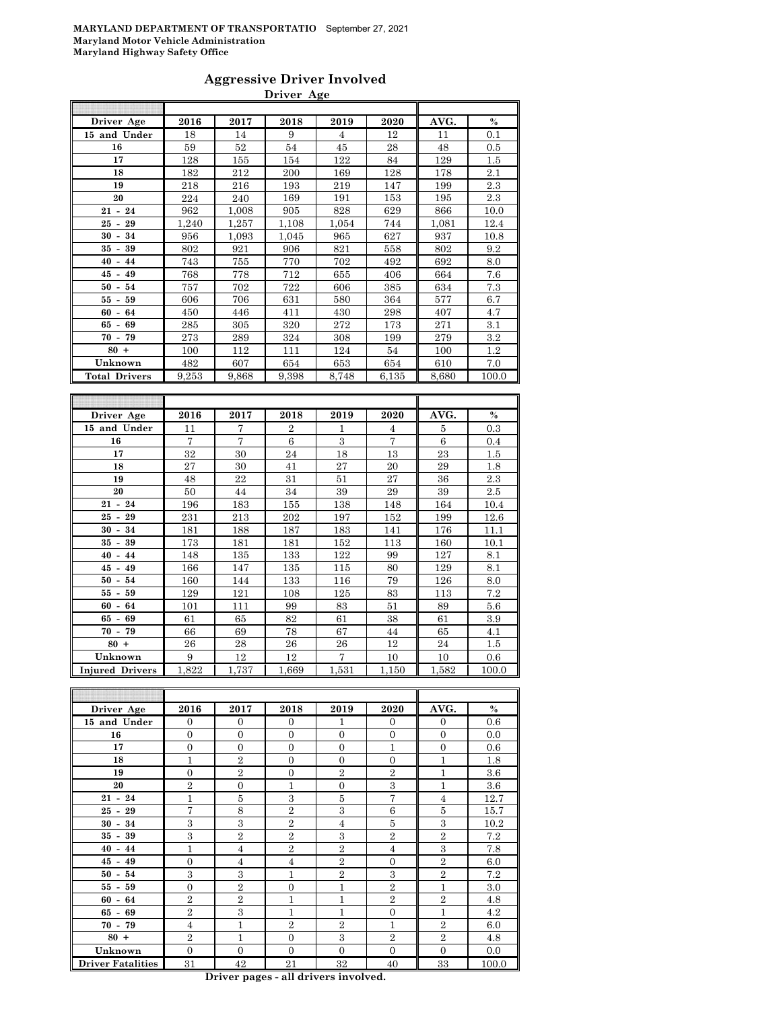### **Aggressive Driver Involved Driver Age**

| Driver Age           | 2016  | 2017  | 2018           | 2019           | 2020           | AVG.  | $\frac{0}{0}$ |
|----------------------|-------|-------|----------------|----------------|----------------|-------|---------------|
| 15 and Under         | 18    | 14    | 9              | $\overline{4}$ | 12             | 11    | 0.1           |
| 16                   | 59    | 52    | 54             | 45             | 28             | 48    | 0.5           |
| 17                   | 128   | 155   | 154            | 122            | 84             | 129   | 1.5           |
| 18                   | 182   | 212   | 200            | 169            | 128            | 178   | 2.1           |
| 19                   | 218   | 216   | 193            | 219            | 147            | 199   | 2.3           |
| 20                   | 224   | 240   | 169            | 191            | 153            | 195   | 2.3           |
| $21 - 24$            | 962   | 1,008 | 905            | 828            | 629            | 866   | 10.0          |
| $25 - 29$            | 1,240 | 1,257 | 1,108          | 1,054          | 744            | 1,081 | 12.4          |
| $30 - 34$            | 956   | 1,093 | 1,045          | 965            | 627            | 937   | 10.8          |
| $35 - 39$            | 802   | 921   | 906            | 821            | 558            | 802   | 9.2           |
| $40 - 44$            | 743   | 755   | 770            | 702            | 492            | 692   | 8.0           |
| $45 - 49$            | 768   | 778   | 712            | 655            | 406            | 664   | 7.6           |
| $50 -$<br>54         | 757   | 702   | 722            | 606            | 385            | 634   | 7.3           |
| $55 - 59$            | 606   | 706   | 631            | 580            | 364            | 577   | 6.7           |
| $60 - 64$            | 450   | 446   | 411            | 430            | 298            | 407   | 4.7           |
| $65 - 69$            | 285   | 305   | 320            | 272            | 173            | 271   | 3.1           |
| $70 - 79$            | 273   | 289   | 324            | 308            | 199            | 279   | 3.2           |
| $80 +$               | 100   | 112   | 111            | 124            | 54             | 100   | 1.2           |
| Unknown              | 482   | 607   | 654            | 653            | 654            | 610   | 7.0           |
| <b>Total Drivers</b> | 9,253 | 9,868 | 9,398          | 8,748          | 6,135          | 8,680 | 100.0         |
|                      |       |       |                |                |                |       |               |
|                      |       |       |                |                |                |       |               |
| Driver Age           | 2016  | 2017  | 2018           | 2019           | 2020           | AVG.  | $\%$          |
| 15 and Under         | 11    | 7     | $\overline{2}$ | 1              | 4              | 5     | 0.3           |
| 16                   | 7     | 7     | 6              | 3              | $\overline{7}$ | 6     | 0.4           |

| 15 and Under                         | 11             | 7     | $\overline{2}$ | 1     | $\overline{4}$ | 5     | 0.3   |
|--------------------------------------|----------------|-------|----------------|-------|----------------|-------|-------|
| 16                                   | $\overline{7}$ | 7     | 6              | 3     | $\overline{7}$ | 6     | 0.4   |
| 17                                   | 32             | 30    | 24             | 18    | 13             | 23    | 1.5   |
| 18                                   | 27             | 30    | 41             | 27    | 20             | 29    | 1.8   |
| 19                                   | 48             | 22    | 31             | 51    | 27             | 36    | 2.3   |
| 20                                   | 50             | 44    | 34             | 39    | 29             | 39    | 2.5   |
| $21 - 24$                            | 196            | 183   | 155            | 138   | 148            | 164   | 10.4  |
| $25 -$<br>29                         | 231            | 213   | 202            | 197   | 152            | 199   | 12.6  |
| 34<br>$30 -$                         | 181            | 188   | 187            | 183   | 141            | 176   | 11.1  |
| 39<br>35 -                           | 173            | 181   | 181            | 152   | 113            | 160   | 10.1  |
| $40 -$<br>44                         | 148            | 135   | 133            | 122   | 99             | 127   | 8.1   |
| 45<br>49<br>$\overline{\phantom{a}}$ | 166            | 147   | 135            | 115   | 80             | 129   | 8.1   |
| $50 -$<br>54                         | 160            | 144   | 133            | 116   | 79             | 126   | 8.0   |
| 55 -<br>59                           | 129            | 121   | 108            | 125   | 83             | 113   | 7.2   |
| $60 - 64$                            | 101            | 111   | 99             | 83    | 51             | 89    | 5.6   |
| $65 - 69$                            | 61             | 65    | 82             | 61    | 38             | 61    | 3.9   |
| $70 - 79$                            | 66             | 69    | 78             | 67    | 44             | 65    | 4.1   |
| $80 +$                               | 26             | 28    | 26             | 26    | 12             | 24    | 1.5   |
| Unknown                              | 9              | 12    | 12             | 7     | 10             | 10    | 0.6   |
| <b>Injured Drivers</b>               | 1,822          | 1,737 | 1,669          | 1,531 | 1,150          | 1,582 | 100.0 |

| Driver Age               | 2016           | 2017           | 2018           | 2019           | 2020           | AVG.           | $\%$  |
|--------------------------|----------------|----------------|----------------|----------------|----------------|----------------|-------|
| 15 and Under             | $\Omega$       | $\overline{0}$ | $\Omega$       | 1              | $\overline{0}$ | $\overline{0}$ | 0.6   |
| 16                       | $\overline{0}$ | $\overline{0}$ | $\Omega$       | $\Omega$       | $\overline{0}$ | $\overline{0}$ | 0.0   |
| 17                       | $\overline{0}$ | $\overline{0}$ | $\overline{0}$ | $\Omega$       | $\mathbf{1}$   | $\overline{0}$ | 0.6   |
| 18                       | 1              | $\overline{2}$ | $\Omega$       | $\Omega$       | $\overline{0}$ | 1              | 1.8   |
| 19                       | $\Omega$       | $\overline{2}$ | $\theta$       | $\overline{2}$ | $\overline{2}$ | $\overline{1}$ | 3.6   |
| 20                       | $\overline{2}$ | $\overline{0}$ | 1              | $\Omega$       | 3              | 1              | 3.6   |
| $21 - 24$                | 1              | 5              | 3              | 5              | $\overline{7}$ | $\overline{4}$ | 12.7  |
| $25 - 29$                | 7              | 8              | $\overline{2}$ | 3              | 6              | 5              | 15.7  |
| $30 - 34$                | 3              | 3              | $\overline{2}$ | $\overline{4}$ | 5              | 3              | 10.2  |
| $35 - 39$                | 3              | $\overline{2}$ | $\overline{2}$ | 3              | $\overline{2}$ | $\overline{2}$ | 7.2   |
| $40 - 44$                | 1              | $\overline{4}$ | $\mathbf{2}$   | $\overline{2}$ | $\overline{4}$ | 3              | 7.8   |
| $45 - 49$                | $\overline{0}$ | $\overline{4}$ | $\overline{4}$ | $\overline{2}$ | $\overline{0}$ | $\overline{2}$ | 6.0   |
| $50 - 54$                | 3              | 3              | $\mathbf{1}$   | $\overline{2}$ | 3              | $\overline{2}$ | 7.2   |
| $55 - 59$                | $\Omega$       | $\overline{2}$ | $\Omega$       | $\mathbf{1}$   | $\overline{2}$ | 1              | 3.0   |
| $60 - 64$                | $\overline{2}$ | $\overline{2}$ | 1              | 1              | $\overline{2}$ | $\overline{2}$ | 4.8   |
| $65 - 69$                | $\overline{2}$ | 3              | 1              | 1              | $\overline{0}$ | $\mathbf{1}$   | 4.2   |
| $70 - 79$                | $\overline{4}$ | 1              | $\overline{2}$ | $\overline{2}$ | 1              | $\overline{2}$ | 6.0   |
| $80 +$                   | $\overline{2}$ | $\mathbf{1}$   | $\theta$       | 3              | $\overline{2}$ | $\overline{2}$ | 4.8   |
| Unknown                  | $\overline{0}$ | $\overline{0}$ | $\Omega$       | $\Omega$       | $\overline{0}$ | $\overline{0}$ | 0.0   |
| <b>Driver Fatalities</b> | 31             | 42             | 21             | 32             | 40             | 33             | 100.0 |

**Driver pages - all drivers involved.**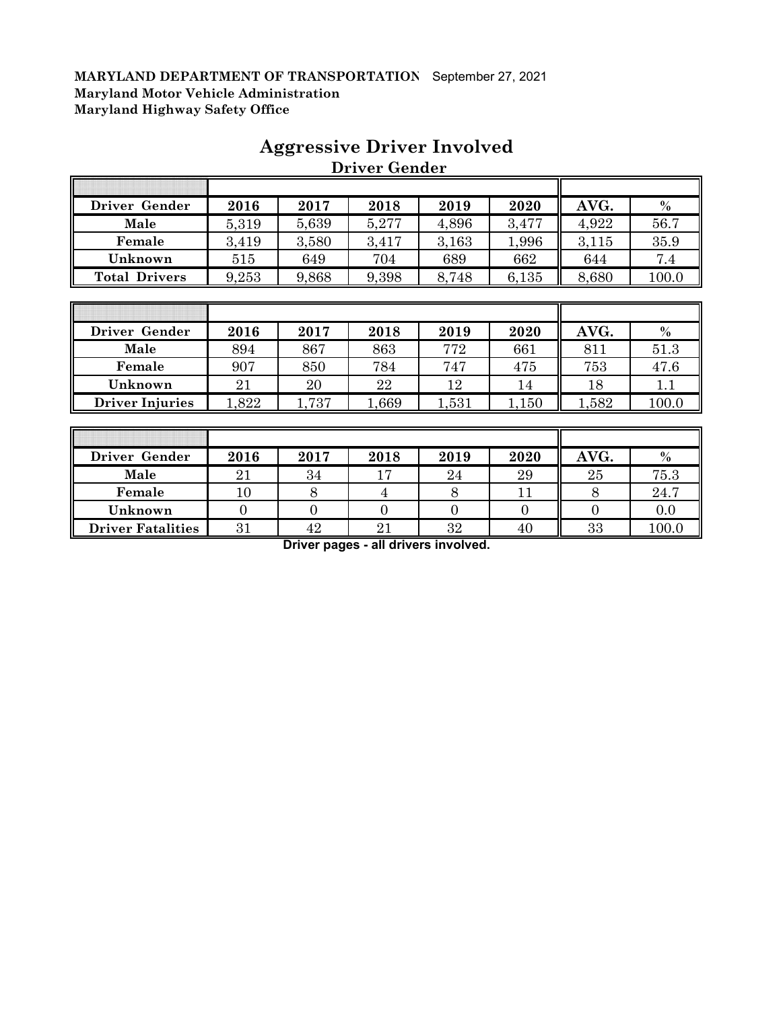| Driver Gender        | 2016  | 2017  | 2018  | 2019  | 2020  | AVG.  | $\%$  |
|----------------------|-------|-------|-------|-------|-------|-------|-------|
| Male                 | 5,319 | 5,639 | 5,277 | 4,896 | 3,477 | 4,922 | 56.7  |
| Female               | 3,419 | 3,580 | 3,417 | 3,163 | 1,996 | 3,115 | 35.9  |
| Unknown              | 515   | 649   | 704   | 689   | 662   | 644   | 7.4   |
| <b>Total Drivers</b> | 9,253 | 9,868 | 9,398 | 8,748 | 6,135 | 8,680 | 100.0 |

## **Aggressive Driver Involved Driver Gender**

| Driver Gender          | 2016 | 2017  | 2018  | 2019  | 2020  | AVG. | $\frac{0}{0}$ |
|------------------------|------|-------|-------|-------|-------|------|---------------|
| Male                   | 894  | 867   | 863   | 772   | 661   | 811  | 51.3          |
| Female                 | 907  | 850   | 784   | 747   | 475   | 753  | 47.6          |
| Unknown                | 21   | 20    | 22    | 12    | 14    | 18   |               |
| <b>Driver Injuries</b> | .822 | 1,737 | 0.669 | 1,531 | 1,150 | ,582 | 100.0         |

| Driver Gender            | 2016   | 2017 | 2018 | 2019 | 2020 | AVG. | $\frac{0}{0}$ |
|--------------------------|--------|------|------|------|------|------|---------------|
| Male                     | 21     | 34   |      | 24   | 29   | 25   | 75.3          |
| Female                   | $10\,$ |      |      |      |      |      | 24.7          |
| Unknown                  |        |      |      |      |      |      | 0.0           |
| <b>Driver Fatalities</b> | 31     | 42   | ാ    | 32   | 40   | 33   | 100.0         |

**Driver pages - all drivers involved.**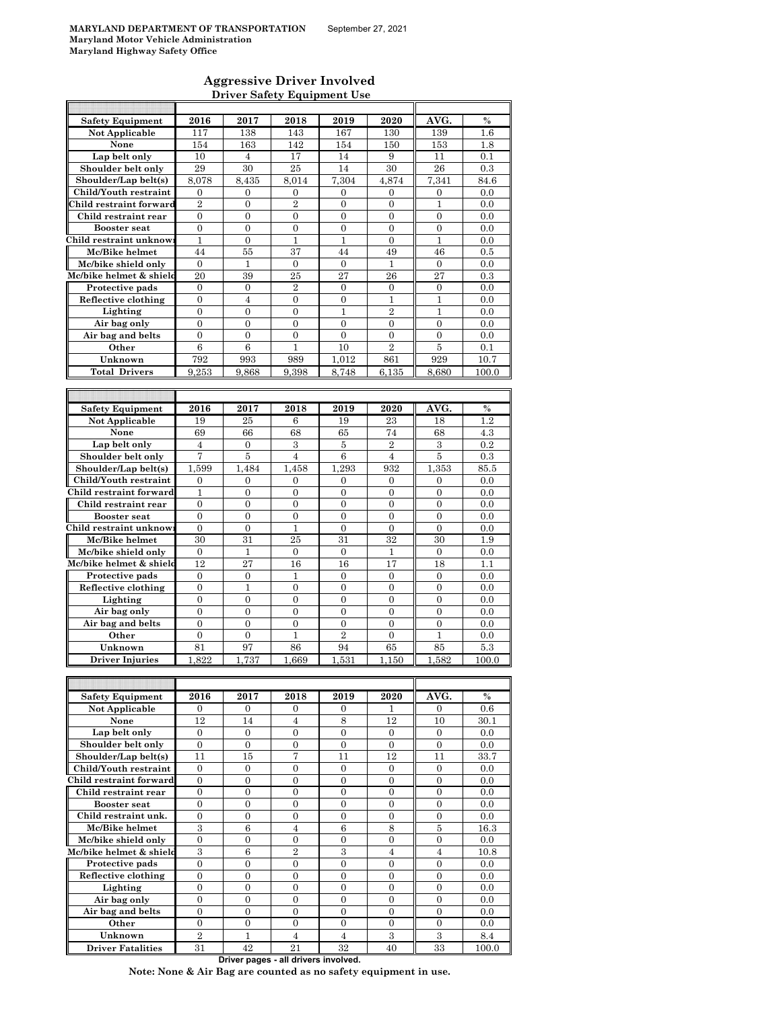$\mathsf{r}$ 

### **Aggressive Driver Involved Driver Safety Equipment Use**

| <b>Safety Equipment</b> | 2016             | 2017             | 2018             | 2019             | 2020             | AVG.             | $\%$  |
|-------------------------|------------------|------------------|------------------|------------------|------------------|------------------|-------|
| <b>Not Applicable</b>   | 117              | 138              | 143              | 167              | 130              | 139              | 1.6   |
| None                    | 154              | 163              | 142              | 154              | 150              | 153              | 1.8   |
| Lap belt only           | 10               | 4                | 17               | 14               | 9                | 11               | 0.1   |
| Shoulder belt only      | 29               | 30               | 25               | 14               | 30               | 26               | 0.3   |
| Shoulder/Lap belt(s)    | 8,078            | 8.435            | 8,014            | 7,304            | 4,874            | 7,341            | 84.6  |
| Child/Youth restraint   | $\mathbf{0}$     | $\mathbf{0}$     | 0                | $\overline{0}$   | $\mathbf{0}$     | $\overline{0}$   | 0.0   |
| Child restraint forward | $\overline{2}$   | $\overline{0}$   | $\overline{2}$   | $\overline{0}$   | $\overline{0}$   | $\mathbf{1}$     | 0.0   |
| Child restraint rear    | $\boldsymbol{0}$ | $\boldsymbol{0}$ | 0                | $\overline{0}$   | $\boldsymbol{0}$ | $\boldsymbol{0}$ | 0.0   |
| <b>Booster seat</b>     | $\boldsymbol{0}$ | $\overline{0}$   | $\boldsymbol{0}$ | $\boldsymbol{0}$ | $\overline{0}$   | $\boldsymbol{0}$ | 0.0   |
| Child restraint unknow  | $\mathbf{1}$     | $\boldsymbol{0}$ | 1                | 1                | $\boldsymbol{0}$ | 1                | 0.0   |
| Mc/Bike helmet          | 44               | 55               | 37               | 44               | 49               | 46               | 0.5   |
| Mc/bike shield only     | $\mathbf{0}$     | 1                | $\mathbf{0}$     | $\boldsymbol{0}$ | 1                | $\mathbf{0}$     | 0.0   |
| Mc/bike helmet & shield | 20               | 39               | 25               | 27               | 26               | 27               | 0.3   |
| Protective pads         | $\mathbf{0}$     | $\mathbf{0}$     | $\boldsymbol{2}$ | $\overline{0}$   | $\boldsymbol{0}$ | $\boldsymbol{0}$ | 0.0   |
| Reflective clothing     | $\overline{0}$   | $\overline{4}$   | $\overline{0}$   | $\overline{0}$   | $\mathbf{1}$     | $\mathbf{1}$     | 0.0   |
| Lighting                | $\boldsymbol{0}$ | $\boldsymbol{0}$ | $\boldsymbol{0}$ | $\mathbf{1}$     | $\overline{2}$   | $\mathbf 1$      | 0.0   |
| Air bag only            | $\boldsymbol{0}$ | $\boldsymbol{0}$ | $\overline{0}$   | $\overline{0}$   | $\overline{0}$   | $\boldsymbol{0}$ | 0.0   |
| Air bag and belts       | $\boldsymbol{0}$ | $\overline{0}$   | 0                | $\overline{0}$   | $\boldsymbol{0}$ | $\boldsymbol{0}$ | 0.0   |
| Other                   | $\,6$            | 6                | 1                | 10               | $\overline{2}$   | 5                | 0.1   |
| Unknown                 | 792              | 993              | 989              | 1,012            | 861              | 929              | 10.7  |
| <b>Total Drivers</b>    | 9,253            | 9,868            | 9,398            | 8,748            | 6,135            | 8,680            | 100.0 |
|                         |                  |                  |                  |                  |                  |                  |       |
|                         |                  |                  |                  |                  |                  |                  |       |
| <b>Safety Equipment</b> | 2016             | 2017             | 2018             | 2019             | 2020             | AVG.             | $\%$  |
| Not Applicable          | 19               | 25               | 6                | 19               | 23               | 18               | 1.2   |
| None                    | 69               | 66               | 68               | 65               | 74               | 68               | 4.3   |
| Lap belt only           | $\overline{4}$   | $\mathbf{0}$     | 3                | 5                | $\overline{2}$   | 3                | 0.2   |
| Shoulder belt only      | 7                | 5                | $\overline{4}$   | 6                | $\overline{4}$   | $\bf 5$          | 0.3   |
| Shoulder/Lap belt(s)    | 1,599            | 1,484            | 1,458            | 1.293            | 932              | 1,353            | 85.5  |
| Child/Youth restraint   | $\boldsymbol{0}$ | $\overline{0}$   | $\overline{0}$   | $\boldsymbol{0}$ | $\boldsymbol{0}$ | $\boldsymbol{0}$ | 0.0   |
| Child restraint forward | 1                | $\boldsymbol{0}$ | 0                | $\boldsymbol{0}$ | $\mathbf{0}$     | $\boldsymbol{0}$ | 0.0   |
| Child restraint rear    | $\overline{0}$   | $\overline{0}$   | $\overline{0}$   | $\overline{0}$   | $\overline{0}$   | $\overline{0}$   | 0.0   |
| <b>Booster seat</b>     | $\boldsymbol{0}$ | $\boldsymbol{0}$ | $\mathbf{0}$     | $\boldsymbol{0}$ | $\mathbf{0}$     | $\boldsymbol{0}$ | 0.0   |
| Child restraint unknow  | $\overline{0}$   | $\overline{0}$   | $\mathbf{1}$     | $\overline{0}$   | $\overline{0}$   | $\overline{0}$   | 0.0   |
| Mc/Bike helmet          | 30               | 31               | 25               | 31               | 32               | 30               | 1.9   |
| Mc/bike shield only     | $\mathbf{0}$     | $\mathbf{1}$     | $\overline{0}$   | $\overline{0}$   | 1                | $\overline{0}$   | 0.0   |
| Mc/bike helmet & shield | 12               | 27               | 16               | 16               | 17               | 18               | 1.1   |
| Protective pads         | 0                | $\boldsymbol{0}$ | 1                | $\boldsymbol{0}$ | 0                | $\boldsymbol{0}$ | 0.0   |
| Reflective clothing     | $\boldsymbol{0}$ | $\mathbf{1}$     | $\boldsymbol{0}$ | $\overline{0}$   | $\boldsymbol{0}$ | $\boldsymbol{0}$ | 0.0   |
| Lighting                | $\boldsymbol{0}$ | $\boldsymbol{0}$ | $\boldsymbol{0}$ | $\boldsymbol{0}$ | $\boldsymbol{0}$ | $\boldsymbol{0}$ | 0.0   |
| Air bag only            | $\overline{0}$   | $\mathbf{0}$     | $\overline{0}$   | $\overline{0}$   | $\overline{0}$   | $\overline{0}$   | 0.0   |
| Air bag and belts       | $\boldsymbol{0}$ | $\boldsymbol{0}$ | $\boldsymbol{0}$ | $\boldsymbol{0}$ | $\boldsymbol{0}$ | $\boldsymbol{0}$ | 0.0   |
| Other                   | $\boldsymbol{0}$ | $\overline{0}$   | $\mathbf{1}$     | $\overline{2}$   | $\overline{0}$   | 1                | 0.0   |
| Unknown                 | 81               | 97               | 86               | 94               | 65               | 85               | 5.3   |
| <b>Driver Injuries</b>  | .822             | 1,737            | 1,669            | 1,531            | 1,150            | 1,582            | 100.0 |
|                         |                  |                  |                  |                  |                  |                  |       |
|                         |                  |                  |                  |                  |                  |                  |       |
| <b>Safety Equipment</b> | 2016             | 2017             | 2018             | 2019             | 2020             | AVG.             | $\%$  |
| Not Applicable          | $\mathbf{0}$     | $\mathbf{0}$     | $\overline{0}$   | $\mathbf{0}$     | 1                | 0                | 0.6   |
| None                    | 12               | 14               | 4                | 8                | 12               | 10               | 30.1  |
| Lap belt only           | $\boldsymbol{0}$ | $\boldsymbol{0}$ | $\boldsymbol{0}$ | $\boldsymbol{0}$ | $\overline{0}$   | $\boldsymbol{0}$ | 0.0   |
| Shoulder belt only      | $\boldsymbol{0}$ | $\mathbf{0}$     | 0                | $\boldsymbol{0}$ | 0                | $\boldsymbol{0}$ | 0.0   |
| Shoulder/Lap belt(s)    | 11               | 15               | 7                | 11               | 12               | 11               | 33.7  |
| Child/Youth restraint   | $\mathbf{0}$     | 0                | 0                | $\boldsymbol{0}$ | $\boldsymbol{0}$ | $\boldsymbol{0}$ | 0.0   |
| Child restraint forward | $\overline{0}$   | $\boldsymbol{0}$ | $\boldsymbol{0}$ | $\overline{0}$   | $\overline{0}$   | $\mathbf{0}$     | 0.0   |
| Child restraint rear    | $\boldsymbol{0}$ | $\boldsymbol{0}$ | 0                | $\overline{0}$   | $\boldsymbol{0}$ | $\boldsymbol{0}$ | 0.0   |
| <b>Booster seat</b>     | $\boldsymbol{0}$ | $\overline{0}$   | $\overline{0}$   | $\overline{0}$   | $\overline{0}$   | $\overline{0}$   | 0.0   |
| Child restraint unk.    | $\boldsymbol{0}$ | $\boldsymbol{0}$ | 0                | $\boldsymbol{0}$ | $\boldsymbol{0}$ | $\boldsymbol{0}$ | 0.0   |
| Mc/Bike helmet          | 3                | 6                | $\overline{4}$   | 6                | 8                | $\bf 5$          | 16.3  |
| Mc/bike shield only     | $\boldsymbol{0}$ | $\boldsymbol{0}$ | 0                | $\boldsymbol{0}$ | $\boldsymbol{0}$ | $\boldsymbol{0}$ | 0.0   |
| Mc/bike helmet & shield | $\,3$            | $\,6$            | $\overline{2}$   | $\,3$            | $\overline{4}$   | $\overline{4}$   | 10.8  |
| Protective pads         | $\overline{0}$   | $\mathbf{0}$     | $\overline{0}$   | $\overline{0}$   | $\overline{0}$   | $\overline{0}$   | 0.0   |
| Reflective clothing     | $\boldsymbol{0}$ | $\boldsymbol{0}$ | $\boldsymbol{0}$ | $\boldsymbol{0}$ | $\boldsymbol{0}$ | $\boldsymbol{0}$ | 0.0   |
| Lighting                | $\mathbf{0}$     | $\overline{0}$   | $\overline{0}$   | $\overline{0}$   | $\overline{0}$   | $\overline{0}$   | 0.0   |
| Air bag only            | $\overline{0}$   | $\overline{0}$   | $\overline{0}$   | $\overline{0}$   | $\overline{0}$   | $\boldsymbol{0}$ | 0.0   |
| Air bag and belts       | $\mathbf{0}$     | $\overline{0}$   | $\overline{0}$   | $\boldsymbol{0}$ | $\overline{0}$   | $\overline{0}$   | 0.0   |
|                         |                  |                  |                  |                  |                  |                  |       |
| Other                   | $\boldsymbol{0}$ | $\boldsymbol{0}$ | 0                | $\boldsymbol{0}$ | $\boldsymbol{0}$ | $\boldsymbol{0}$ | 0.0   |
| Unknown                 | $\overline{2}$   | 1                | $\overline{4}$   | 4                | 3                | 3                | 8.4   |

**Driver pages - all drivers involved.**

**Note: None & Air Bag are counted as no safety equipment in use.**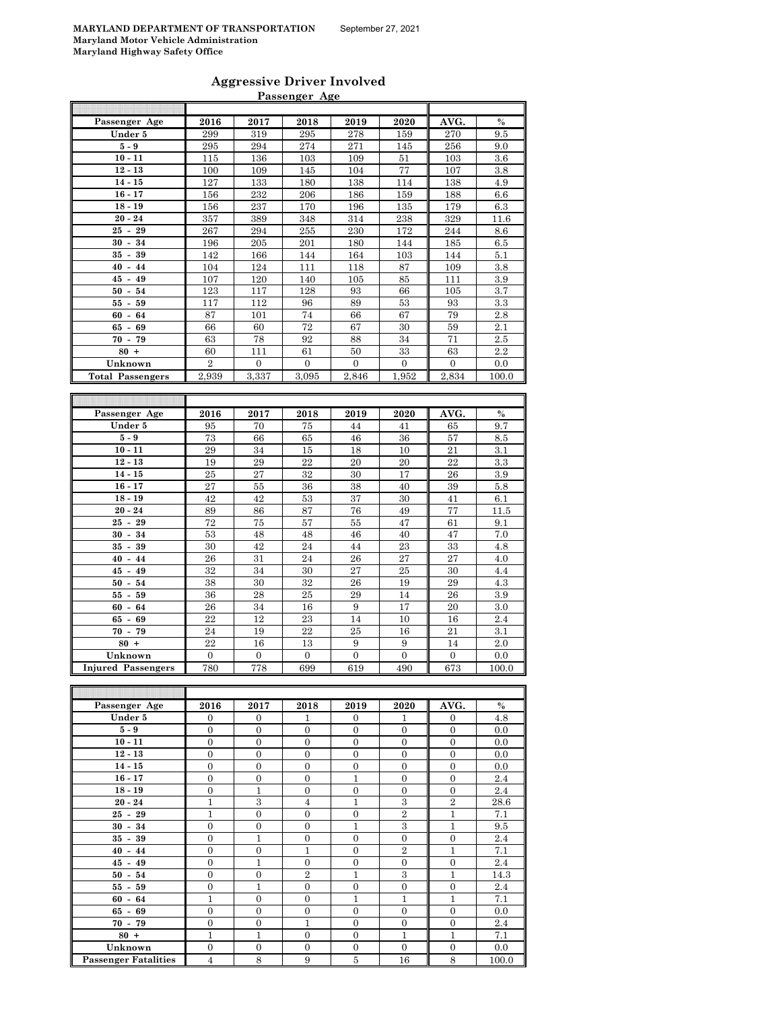| <b>Aggressive Driver Involved</b> |  |
|-----------------------------------|--|
| Passenger Age                     |  |

|                            |                  |                  | rassenger Age    |                  |                  |                  |               |
|----------------------------|------------------|------------------|------------------|------------------|------------------|------------------|---------------|
| Passenger Age              | 2016             | 2017             | 2018             | 2019             | 2020             | AVG.             | $\frac{0}{0}$ |
| Under 5                    | 299              | 319              | 295              | 278              | 159              | 270              | 9.5           |
| $5-9$                      | 295              | 294              | 274              | 271              | 145              | 256              | 9.0           |
| $10 - 11$                  | 115              | 136              | 103              | 109              | 51               | 103              | 3.6           |
| $12 - 13$                  | 100              | 109              | 145              | 104              | 77               | 107              | 3.8           |
| $14 - 15$                  | 127              | 133              | 180              | 138              | 114              | 138              | 4.9           |
|                            |                  |                  |                  |                  |                  |                  |               |
| $16 - 17$                  | 156              | 232              | 206              | 186              | 159              | 188              | 6.6           |
| $18 - 19$                  | 156              | 237              | 170              | 196              | 135              | 179              | 6.3           |
| $20 - 24$                  | 357              | 389              | 348              | 314              | 238              | 329              | 11.6          |
| $25 -$<br>29               | 267              | 294              | 255              | 230              | 172              | 244              | 8.6           |
| $30 -$<br>34               | 196              | 205              | 201              | 180              | 144              | 185              | 6.5           |
| $35 -$<br>39               | 142              | 166              | 144              | 164              | 103              | 144              | 5.1           |
| $40 -$<br>44               | 104              | 124              | 111              | 118              | 87               | 109              | 3.8           |
| $45 - 49$                  | 107              | 120              | 140              | 105              | 85               | 111              | 3.9           |
| $50 -$<br>54               | 123              | 117              | 128              | 93               | 66               | 105              | 3.7           |
| $55 -$<br>59               | 117              | 112              | 96               | 89               | 53               | 93               | 3.3           |
| 60<br>64<br>$\blacksquare$ | 87               | 101              | 74               | 66               | 67               | 79               | 2.8           |
| 65 -<br>69                 | 66               | 60               | 72               | 67               | 30               | 59               | 2.1           |
| $70 - 79$                  | 63               | 78               | 92               | 88               | 34               | 71               | 2.5           |
| $80 +$                     | 60               | 111              | 61               | 50               | 33               | 63               | 2.2           |
| Unknown                    | $\overline{2}$   | $\overline{0}$   | $\overline{0}$   | $\mathbf{0}$     | $\overline{0}$   | $\mathbf{0}$     | 0.0           |
| <b>Total Passengers</b>    | 2,939            | 3,337            | 3,095            | 2,846            | 1,952            | 2,834            | 100.0         |
|                            |                  |                  |                  |                  |                  |                  |               |
|                            |                  |                  |                  |                  |                  |                  |               |
| Passenger Age              | 2016             | 2017             | 2018             | 2019             | 2020             | AVG.             | $\frac{0}{0}$ |
| Under 5                    | 95               | 70               | 75               | 44               | 41               | 65               | 9.7           |
| $5 - 9$                    | 73               | 66               | 65               | 46               | 36               | 57               | 8.5           |
| $10 - 11$                  | 29               | 34               | 15               | 18               | 10               | 21               | 3.1           |
| $12 - 13$                  | 19               | 29               | 22               | 20               | 20               | 22               | 3.3           |
| $14 - 15$                  | 25               | 27               | 32               | 30               | 17               | 26               | 3.9           |
| $16 - 17$                  | 27               | 55               | 36               | 38               | 40               | 39               | 5.8           |
| $18 - 19$                  | 42               | 42               | 53               | 37               | 30               | 41               | 6.1           |
| $20 - 24$                  | 89               | 86               | 87               | 76               | 49               | 77               | 11.5          |
| $25 -$<br>29               | 72               | 75               | 57               | 55               | 47               | 61               | 9.1           |
| $30 -$<br>34               | 53               | 48               | 48               | 46               | 40               | 47               | $7.0\,$       |
| 35<br>39<br>$\blacksquare$ | 30               | 42               | 24               | 44               | 23               | 33               | 4.8           |
| $40 -$                     |                  |                  |                  | 26               |                  | 27               |               |
| 44                         | 26               | 31               | 24               |                  | 27               |                  | 4.0           |
| $45 -$<br>49               | 32               | 34               | 30               | 27               | 25               | 30               | 4.4           |
| 50<br>54<br>$\blacksquare$ | 38               | 30               | 32               | 26               | 19               | 29               | 4.3           |
| 55 -<br>59                 | 36               | 28               | 25               | 29               | 14               | 26               | 3.9           |
| $60 -$<br>64               | 26               | 34               | 16               | 9                | 17               | 20               | 3.0           |
| $65 -$<br>69               | 22               | 12               | 23               | 14               | 10               | 16               | 2.4           |
| $70 -$<br>79               | 24               | 19               | 22               | 25               | 16               | 21               | 3.1           |
| $80 +$                     | 22               | 16               | 13               | 9                | 9                | 14               | 2.0           |
| Unknown                    | $\boldsymbol{0}$ | $\overline{0}$   | $\overline{0}$   | $\overline{0}$   | $\overline{0}$   | $\overline{0}$   | 0.0           |
| <b>Injured Passengers</b>  | 780              | 778              | 699              | 619              | 490              | 673              | 100.0         |
|                            |                  |                  |                  |                  |                  |                  |               |
|                            |                  |                  |                  |                  |                  |                  |               |
| Passenger Age              | 2016             | 2017             | 2018             | 2019             | 2020             | AVG.             | $\frac{0}{0}$ |
| Under 5                    | $\overline{0}$   | $\overline{0}$   | $\mathbf{1}$     | $\overline{0}$   | $\mathbf{1}$     | $\mathbf{0}$     | 4.8           |
| $5-9$                      | $\overline{0}$   | $\overline{0}$   | $\boldsymbol{0}$ | $\mathbf{0}$     | $\boldsymbol{0}$ | $\mathbf{0}$     | $_{0.0}$      |
|                            |                  |                  |                  |                  |                  |                  |               |
| $10 - 11$                  | $\boldsymbol{0}$ | $\overline{0}$   | $\boldsymbol{0}$ | $\overline{0}$   | $\overline{0}$   | $\boldsymbol{0}$ | 0.0           |
| $12 - 13$                  | $\boldsymbol{0}$ | $\boldsymbol{0}$ | $\boldsymbol{0}$ | $\boldsymbol{0}$ | $\boldsymbol{0}$ | $\boldsymbol{0}$ | $0.0\,$       |

| Passenger Age               | 2016             | 2017             | 2018             | 2019             | 2020             | AVG.           | $\%$  |
|-----------------------------|------------------|------------------|------------------|------------------|------------------|----------------|-------|
| Under 5                     | $\mathbf{0}$     | $\mathbf{0}$     | 1                | $\mathbf{0}$     | 1                | $\mathbf{0}$   | 4.8   |
| $5-9$                       | $\overline{0}$   | $\overline{0}$   | $\boldsymbol{0}$ | $\mathbf{0}$     | $\overline{0}$   | $\overline{0}$ | 0.0   |
| $10 - 11$                   | $\overline{0}$   | $\overline{0}$   | $\overline{0}$   | $\mathbf{0}$     | $\overline{0}$   | $\overline{0}$ | 0.0   |
| $12 - 13$                   | $\overline{0}$   | $\overline{0}$   | $\overline{0}$   | $\overline{0}$   | $\overline{0}$   | $\overline{0}$ | 0.0   |
| $14 - 15$                   | $\overline{0}$   | $\overline{0}$   | $\overline{0}$   | $\overline{0}$   | $\mathbf{0}$     | $\overline{0}$ | 0.0   |
| $16 - 17$                   | $\overline{0}$   | $\overline{0}$   | $\boldsymbol{0}$ | $\mathbf{1}$     | $\overline{0}$   | $\overline{0}$ | 2.4   |
| $18 - 19$                   | $\overline{0}$   | $\mathbf{1}$     | $\overline{0}$   | $\overline{0}$   | $\overline{0}$   | $\overline{0}$ | 2.4   |
| $20 - 24$                   | $\mathbf{1}$     | 3                | $\overline{4}$   | $\mathbf{1}$     | 3                | $\overline{2}$ | 28.6  |
| $25 - 29$                   | $\overline{1}$   | $\overline{0}$   | $\overline{0}$   | $\overline{0}$   | $\overline{2}$   | $\mathbf{1}$   | 7.1   |
| $30 - 34$                   | $\overline{0}$   | $\boldsymbol{0}$ | $\boldsymbol{0}$ | $\mathbf{1}$     | $\sqrt{3}$       | $\mathbf{1}$   | 9.5   |
| $35 - 39$                   | $\overline{0}$   | 1                | $\overline{0}$   | $\overline{0}$   | $\overline{0}$   | $\overline{0}$ | 2.4   |
| $40 - 44$                   | $\Omega$         | $\overline{0}$   | $\mathbf{1}$     | $\overline{0}$   | $\overline{2}$   | $\mathbf{1}$   | 7.1   |
| $45 - 49$                   | $\boldsymbol{0}$ | $\mathbf{1}$     | $\boldsymbol{0}$ | $\mathbf{0}$     | $\boldsymbol{0}$ | $\overline{0}$ | 2.4   |
| $50 - 54$                   | $\overline{0}$   | $\overline{0}$   | $\overline{2}$   | $\mathbf{1}$     | 3                | $\mathbf{1}$   | 14.3  |
| $55 - 59$                   | $\overline{0}$   | 1                | $\boldsymbol{0}$ | $\boldsymbol{0}$ | $\mathbf{0}$     | $\overline{0}$ | 2.4   |
| $60 - 64$                   | $\mathbf{1}$     | $\overline{0}$   | $\overline{0}$   | $\mathbf{1}$     | $\mathbf{1}$     | $\mathbf{1}$   | 7.1   |
| $65 - 69$                   | $\overline{0}$   | $\overline{0}$   | $\boldsymbol{0}$ | $\mathbf{0}$     | $\overline{0}$   | $\overline{0}$ | 0.0   |
| $70 - 79$                   | $\overline{0}$   | $\overline{0}$   | $\mathbf 1$      | $\mathbf{0}$     | $\overline{0}$   | $\overline{0}$ | 2.4   |
| $80 +$                      | $\mathbf{1}$     | 1                | $\boldsymbol{0}$ | $\mathbf{0}$     | $\mathbf{1}$     | $\mathbf{1}$   | 7.1   |
| Unknown                     | $\overline{0}$   | $\overline{0}$   | $\overline{0}$   | $\overline{0}$   | $\overline{0}$   | $\overline{0}$ | 0.0   |
| <b>Passenger Fatalities</b> | $\overline{4}$   | 8                | 9                | $\overline{5}$   | 16               | 8              | 100.0 |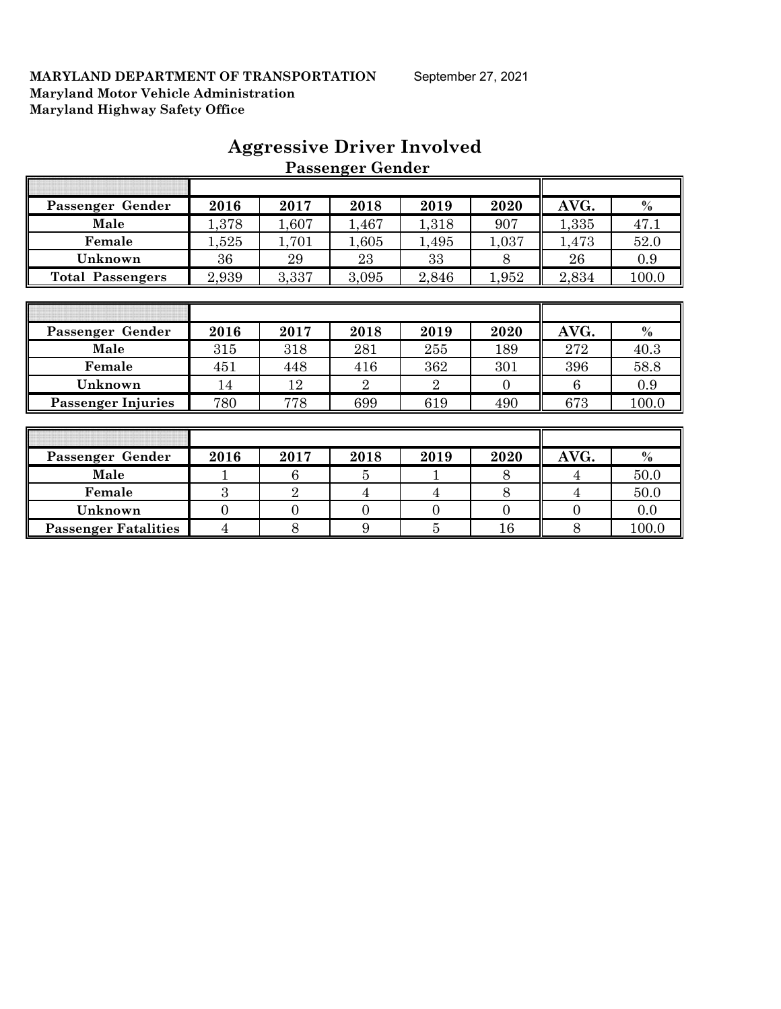| Passenger Gender            | 2016           | 2017           | 2018           | 2019           | 2020           | AVG.           | $\%$  |
|-----------------------------|----------------|----------------|----------------|----------------|----------------|----------------|-------|
| Male                        | 1,378          | 1,607          | 1,467          | 1,318          | 907            | 1,335          | 47.1  |
| Female                      | 1,525          | 1,701          | 1,605          | 1,495          | 1,037          | 1,473          | 52.0  |
| Unknown                     | 36             | 29             | 23             | 33             | 8              | 26             | 0.9   |
| <b>Total Passengers</b>     | 2,939          | 3,337          | 3,095          | 2,846          | 1,952          | 2,834          | 100.0 |
|                             |                |                |                |                |                |                |       |
|                             |                |                |                |                |                |                |       |
| Passenger Gender            | 2016           | 2017           | 2018           | 2019           | 2020           | AVG.           | $\%$  |
| Male                        | 315            | 318            | 281            | 255            | 189            | 272            | 40.3  |
| Female                      | 451            | 448            | 416            | 362            | 301            | 396            | 58.8  |
| Unknown                     | 14             | 12             | $\overline{2}$ | $\overline{2}$ | $\overline{0}$ | 6              | 0.9   |
| <b>Passenger Injuries</b>   | 780            | 778            | 699            | 619            | 490            | 673            | 100.0 |
|                             |                |                |                |                |                |                |       |
|                             |                |                |                |                |                |                |       |
| Passenger Gender            | 2016           | 2017           | 2018           | 2019           | 2020           | AVG.           | $\%$  |
| Male                        |                | 6              | 5              |                | 8              | 4              | 50.0  |
| Female                      | 3              | $\overline{2}$ | $\overline{4}$ | $\overline{4}$ | 8              | 4              | 50.0  |
| Unknown                     | $\overline{0}$ | $\mathbf{0}$   | $\theta$       | $\overline{0}$ | $\overline{0}$ | $\overline{0}$ | 0.0   |
| <b>Passenger Fatalities</b> | 4              | 8              | 9              | $\overline{5}$ | 16             | 8              | 100.0 |

## **Aggressive Driver Involved Passenger Gender**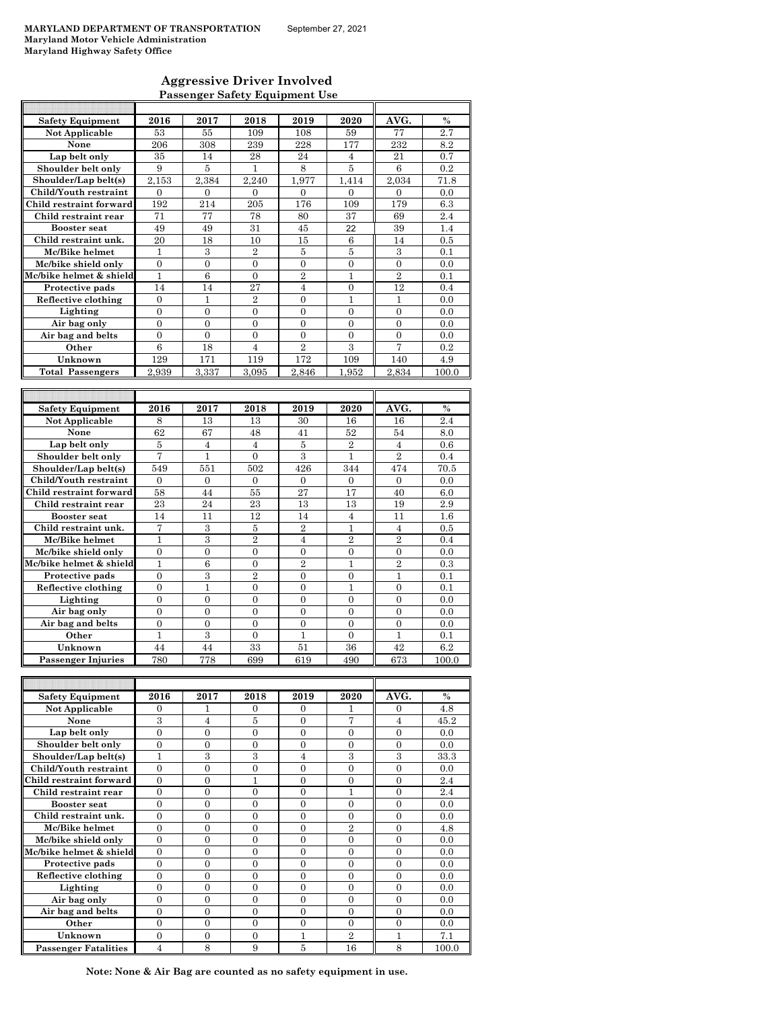F

### **Aggressive Driver Involved Passenger Safety Equipment Use**

| <b>Safety Equipment</b>           | 2016                               | 2017                               | 2018                                 | 2019                  | 2020                             | AVG.                                 | $\frac{0}{0}$ |
|-----------------------------------|------------------------------------|------------------------------------|--------------------------------------|-----------------------|----------------------------------|--------------------------------------|---------------|
| <b>Not Applicable</b>             | 53                                 | 55                                 | 109                                  | 108                   | 59                               | 77                                   | 2.7           |
| None                              | 206                                | 308                                | 239                                  | 228                   | 177                              | 232                                  | 8.2           |
| Lap belt only                     | 35                                 | 14                                 | 28                                   | 24                    | $\overline{4}$                   | 21                                   | 0.7           |
| Shoulder belt only                | 9                                  | 5                                  | 1                                    | 8                     | $\bf 5$                          | 6                                    | 0.2           |
| Shoulder/Lap belt(s)              | 2.153                              | 2.384                              | 2.240                                | 1,977                 | 1,414                            | 2,034                                | 71.8          |
| Child/Youth restraint             | $\mathbf{0}$                       | $\mathbf{0}$                       | $\mathbf{0}$                         | 0                     | $\mathbf{0}$                     | $\mathbf{0}$                         | 0.0           |
| Child restraint forward           | 192                                | 214                                | 205                                  | 176                   | 109                              | 179                                  | 6.3           |
| Child restraint rear              | 71                                 | 77                                 | 78                                   | 80                    | 37                               | 69                                   | 2.4           |
| <b>Booster seat</b>               | 49                                 | 49                                 | 31                                   | 45                    | 22                               | 39                                   | 1.4           |
| Child restraint unk.              | 20                                 |                                    |                                      |                       |                                  | 14                                   |               |
|                                   | $\mathbf{1}$                       | 18                                 | 10<br>$\mathbf{2}$                   | 15                    | 6                                |                                      | 0.5           |
| Mc/Bike helmet                    |                                    | 3                                  |                                      | 5                     | 5                                | 3                                    | 0.1           |
| Mc/bike shield only               | $\boldsymbol{0}$                   | $\boldsymbol{0}$                   | $\boldsymbol{0}$                     | 0                     | 0                                | 0                                    | 0.0           |
| Mc/bike helmet & shield           | $\mathbf{1}$                       | 6                                  | $\overline{0}$                       | $\overline{2}$        | 1                                | $\overline{2}$                       | 0.1           |
| Protective pads                   | 14                                 | 14                                 | 27                                   | $\overline{4}$        | $\mathbf{0}$                     | 12                                   | 0.4           |
| Reflective clothing               | $\mathbf{0}$                       | 1                                  | $\overline{2}$                       | 0                     | 1                                | 1                                    | 0.0           |
| Lighting                          | $\overline{0}$                     | $\overline{0}$                     | $\overline{0}$                       | $\mathbf{0}$          | $\mathbf{0}$                     | $\overline{0}$                       | 0.0           |
| Air bag only                      | $\overline{0}$                     | 0                                  | $\overline{0}$                       | $\overline{0}$        | $\mathbf{0}$                     | $\overline{0}$                       | 0.0           |
| Air bag and belts                 | $\overline{0}$                     | $\overline{0}$                     | $\overline{0}$                       | $\overline{0}$        | $\mathbf{0}$                     | $\overline{0}$                       | 0.0           |
| Other                             | $\,6$                              | 18                                 | $\overline{4}$                       | $\overline{2}$        | 3                                | 7                                    | 0.2           |
| Unknown                           | 129                                | 171                                | 119                                  | 172                   | 109                              | 140                                  | 4.9           |
| <b>Total Passengers</b>           | 2.939                              | 3,337                              | 3.095                                | 2,846                 | 1.952                            | 2,834                                | 100.0         |
|                                   |                                    |                                    |                                      |                       |                                  |                                      |               |
|                                   |                                    |                                    |                                      |                       |                                  |                                      |               |
| <b>Safety Equipment</b>           | 2016                               | 2017                               | 2018                                 | 2019                  | 2020                             | AVG.                                 | $\frac{0}{0}$ |
| Not Applicable                    | 8                                  | 13                                 | 13                                   | 30                    | 16                               | 16                                   | 2.4           |
| None                              | 62                                 | 67                                 | 48                                   | 41                    | 52                               | 54                                   | 8.0           |
| Lap belt only                     | 5                                  | 4                                  | 4                                    | 5                     | $\overline{2}$                   | 4                                    | 0.6           |
| Shoulder belt only                | $\overline{7}$                     | $\mathbf{1}$                       | $\overline{0}$                       | $\boldsymbol{3}$      | $\mathbf{1}$                     | $\overline{2}$                       | 0.4           |
| Shoulder/Lap belt(s)              | 549                                | 551                                | 502                                  | 426                   | 344                              | 474                                  | 70.5          |
| Child/Youth restraint             | $\overline{0}$                     | $\overline{0}$                     | $\mathbf{0}$                         | $\mathbf{0}$          | $\mathbf{0}$                     | $\overline{0}$                       | 0.0           |
| Child restraint forward           | 58                                 | 44                                 | 55                                   | 27                    | 17                               | 40                                   | 6.0           |
| Child restraint rear              | 23                                 | 24                                 | 23                                   | 13                    | 13                               | 19                                   | 2.9           |
| <b>Booster seat</b>               |                                    |                                    | 12                                   |                       | $\overline{4}$                   | 11                                   | 1.6           |
|                                   | 14                                 | 11                                 |                                      | 14                    |                                  |                                      |               |
| Child restraint unk.              | 7                                  | 3                                  | 5                                    | $\overline{2}$        | 1                                | $\overline{4}$                       | 0.5           |
| Mc/Bike helmet                    | $\mathbf{1}$                       | 3                                  | $\overline{2}$                       | $\overline{4}$        | $\overline{2}$                   | $\overline{2}$                       | 0.4           |
| Mc/bike shield only               | $\mathbf{0}$                       | $\boldsymbol{0}$                   | 0                                    | 0                     | 0                                | 0                                    | 0.0           |
| Mc/bike helmet & shield           | 1                                  | 6                                  | 0                                    | $\overline{2}$        | 1                                | $\overline{2}$                       | 0.3           |
| Protective pads                   | $\mathbf{0}$                       | 3                                  | $\overline{2}$                       | 0                     | $\boldsymbol{0}$                 | 1                                    | 0.1<br>0.1    |
| Reflective clothing               | $\overline{0}$                     | 1                                  | $\overline{0}$                       | $\overline{0}$        |                                  |                                      |               |
| Lighting                          | $\overline{0}$                     |                                    |                                      |                       | 1                                | $\overline{0}$                       |               |
| Air bag only                      |                                    | $\overline{0}$                     | $\overline{0}$                       | $\overline{0}$        | $\mathbf{0}$                     | $\overline{0}$                       | 0.0           |
|                                   | $\overline{0}$                     | 0                                  | $\overline{0}$                       | $\overline{0}$        | $\overline{0}$                   | $\overline{0}$                       | 0.0           |
| Air bag and belts                 | $\boldsymbol{0}$                   | $\boldsymbol{0}$                   | $\boldsymbol{0}$                     | $\boldsymbol{0}$      | $\boldsymbol{0}$                 | $\boldsymbol{0}$                     | 0.0           |
| Other                             | 1                                  | 3                                  | $\boldsymbol{0}$                     | 1                     | $\mathbf{0}$                     | 1                                    | 0.1           |
| Unknown                           | 44                                 | 44                                 | 33                                   | 51                    | 36                               | 42                                   | 6.2           |
| <b>Passenger Injuries</b>         | 780                                | 778                                | 699                                  | 619                   | 490                              | 673                                  | 100.0         |
|                                   |                                    |                                    |                                      |                       |                                  |                                      |               |
|                                   |                                    |                                    |                                      |                       |                                  |                                      |               |
| <b>Safety Equipment</b>           | 2016                               | 2017                               | 2018                                 | 2019                  | 2020                             | AVG.                                 | $\%$          |
| Not Applicable                    | $\mathbf{0}$                       | 1                                  | $\mathbf{0}$                         | 0                     | 1                                | $\overline{0}$                       | 4.8           |
| None                              | $\,3$                              | 4                                  | 5                                    | 0                     | 7                                | 4                                    | 45.2          |
| Lap belt only                     | $\overline{0}$                     | $\boldsymbol{0}$                   | $\boldsymbol{0}$                     | $\boldsymbol{0}$      | $\overline{0}$                   | $\boldsymbol{0}$                     | 0.0           |
|                                   | $\overline{0}$                     | $\boldsymbol{0}$                   | $\boldsymbol{0}$                     | 0                     | $\boldsymbol{0}$                 | 0                                    | 0.0           |
| Shoulder belt only                | $\mathbf{1}$                       |                                    |                                      |                       |                                  |                                      |               |
| Shoulder/Lap belt(s)              |                                    | 3                                  | 3                                    | $\overline{4}$        | $\boldsymbol{3}$                 | 3                                    | 33.3          |
| Child/Youth restraint             | $\boldsymbol{0}$                   | $\boldsymbol{0}$                   | $\boldsymbol{0}$                     | $\boldsymbol{0}$      | 0                                | 0                                    | 0.0           |
| Child restraint forward           | $\overline{0}$                     | 0                                  | $\mathbf{1}$                         | 0                     | 0                                | 0                                    | 2.4           |
| Child restraint rear              | $\boldsymbol{0}$                   | $\boldsymbol{0}$                   | $\boldsymbol{0}$                     | 0                     | 1                                | $\boldsymbol{0}$                     | 2.4           |
| <b>Booster</b> seat               | $\boldsymbol{0}$                   | $\boldsymbol{0}$                   | $\boldsymbol{0}$                     | 0                     | $\boldsymbol{0}$                 | $\boldsymbol{0}$                     | 0.0           |
| Child restraint unk.              | $\overline{0}$                     | $\boldsymbol{0}$                   | $\boldsymbol{0}$                     | $\boldsymbol{0}$      | $\mathbf{0}$                     | $\boldsymbol{0}$                     | 0.0           |
| Mc/Bike helmet                    | $\overline{0}$                     | $\boldsymbol{0}$                   | $\boldsymbol{0}$                     | 0                     | $\overline{2}$                   | $\boldsymbol{0}$                     | 4.8           |
| Mc/bike shield only               | $\overline{0}$                     | $\overline{0}$                     | $\boldsymbol{0}$                     | $\overline{0}$        | $\mathbf{0}$                     | $\overline{0}$                       | 0.0           |
| Mc/bike helmet & shield           | $\overline{0}$                     | $\overline{0}$                     | $\overline{0}$                       | $\overline{0}$        | $\mathbf{0}$                     | $\overline{0}$                       | 0.0           |
| Protective pads                   | $\overline{0}$                     | 0                                  | $\overline{0}$                       | $\overline{0}$        | $\mathbf{0}$                     | $\overline{0}$                       | 0.0           |
| Reflective clothing               | $\boldsymbol{0}$                   | $\boldsymbol{0}$                   | $\boldsymbol{0}$                     | $\boldsymbol{0}$      | $\boldsymbol{0}$                 | $\boldsymbol{0}$                     | 0.0           |
| Lighting                          | $\boldsymbol{0}$                   | 0                                  | $\boldsymbol{0}$                     | $\boldsymbol{0}$      | $\mathbf{0}$                     | $\boldsymbol{0}$                     | 0.0           |
| Air bag only<br>Air bag and belts | $\overline{0}$<br>$\boldsymbol{0}$ | $\overline{0}$<br>$\boldsymbol{0}$ | $\boldsymbol{0}$<br>$\boldsymbol{0}$ | $\boldsymbol{0}$<br>0 | $\mathbf{0}$<br>$\boldsymbol{0}$ | $\boldsymbol{0}$<br>$\boldsymbol{0}$ | 0.0<br>0.0    |

**Passenger Fatalities** 4 8 9 9 5 16 8 100.0 **Note: None & Air Bag are counted as no safety equipment in use.**

**Other**  $\begin{array}{|c|c|c|c|c|c|} \hline 0 & 0 & 0 & 0 & 0 & 0 & 0.0 \ \hline \end{array}$ **Unknown** 0 0 0 0 1 2 1 7.1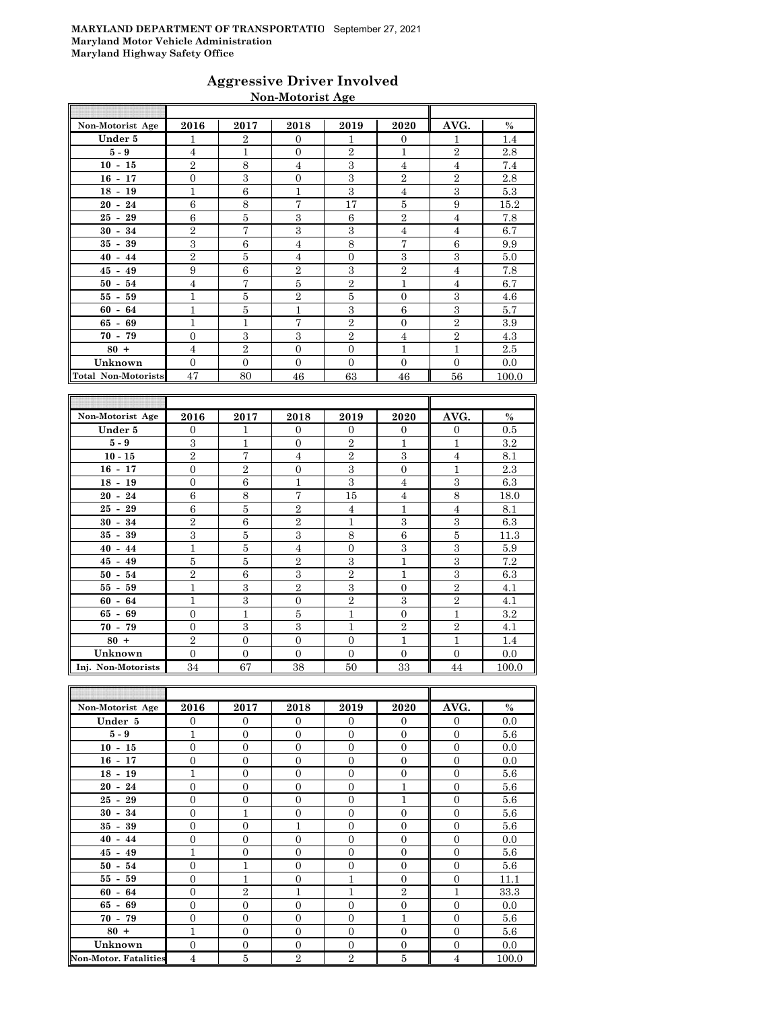### **Aggressive Driver Involved Non-Motorist Age**

| Non-Motorist Age           | 2016           | 2017           | 2018           | 2019           | 2020           | AVG.           | $\%$  |
|----------------------------|----------------|----------------|----------------|----------------|----------------|----------------|-------|
| Under 5                    | 1              | $\overline{2}$ | $\overline{0}$ | 1              | $\overline{0}$ | $\mathbf{1}$   | 1.4   |
| $5-9$                      | $\overline{4}$ | $\mathbf{1}$   | $\theta$       | $\overline{2}$ | 1              | $\mathbf{2}$   | 2.8   |
| $10 - 15$                  | $\overline{2}$ | 8              | $\overline{4}$ | 3              | $\overline{4}$ | $\overline{4}$ | 7.4   |
| $16 - 17$                  | $\overline{0}$ | 3              | $\overline{0}$ | 3              | $\overline{2}$ | $\overline{2}$ | 2.8   |
| $18 - 19$                  | $\mathbf{1}$   | 6              | 1              | 3              | $\overline{4}$ | 3              | 5.3   |
| $20 - 24$                  | 6              | 8              | 7              | 17             | 5              | 9              | 15.2  |
| $25 - 29$                  | 6              | 5              | 3              | 6              | $\overline{2}$ | $\overline{4}$ | 7.8   |
| $30 - 34$                  | $\overline{2}$ | 7              | 3              | 3              | $\overline{4}$ | $\overline{4}$ | 6.7   |
| $35 - 39$                  | 3              | 6              | $\overline{4}$ | 8              | 7              | 6              | 9.9   |
| $40 - 44$                  | $\overline{2}$ | $\overline{5}$ | $\overline{4}$ | $\Omega$       | 3              | 3              | 5.0   |
| $45 - 49$                  | 9              | 6              | $\overline{2}$ | 3              | $\overline{2}$ | $\overline{4}$ | 7.8   |
| $50 - 54$                  | $\overline{4}$ | 7              | 5              | $\overline{2}$ | $\mathbf{1}$   | $\overline{4}$ | 6.7   |
| $55 - 59$                  | $\mathbf{1}$   | 5              | $\overline{2}$ | 5              | $\overline{0}$ | 3              | 4.6   |
| $60 - 64$                  | $\mathbf{1}$   | 5              | $\mathbf{1}$   | 3              | 6              | 3              | 5.7   |
| $65 - 69$                  | $\mathbf{1}$   | $\mathbf{1}$   | 7              | $\overline{2}$ | $\mathbf{0}$   | $\overline{2}$ | 3.9   |
| $70 - 79$                  | $\overline{0}$ | 3              | 3              | $\overline{2}$ | $\overline{4}$ | $\overline{2}$ | 4.3   |
| $80 +$                     | $\overline{4}$ | $\overline{2}$ | $\Omega$       | $\Omega$       | $\mathbf{1}$   | $\mathbf{1}$   | 2.5   |
| Unknown                    | $\overline{0}$ | $\mathbf{0}$   | $\Omega$       | $\overline{0}$ | $\Omega$       | $\Omega$       | 0.0   |
| <b>Total Non-Motorists</b> | 47             | 80             | 46             | 63             | 46             | 56             | 100.0 |

| Non-Motorist Age   | 2016           | 2017           | 2018           | 2019           | 2020           | AVG.           | $\%$    |
|--------------------|----------------|----------------|----------------|----------------|----------------|----------------|---------|
| Under 5            | $\Omega$       | 1              | $\overline{0}$ | $\Omega$       | $\overline{0}$ | $\mathbf{0}$   | 0.5     |
| $5-9$              | 3              | $\mathbf{1}$   | $\mathbf{0}$   | $\overline{2}$ | 1              | 1              | $3.2\,$ |
| $10 - 15$          | $\overline{2}$ | 7              | $\overline{4}$ | $\overline{2}$ | 3              | $\overline{4}$ | 8.1     |
| $16 - 17$          | $\overline{0}$ | $\overline{2}$ | $\overline{0}$ | 3              | $\theta$       | $\mathbf 1$    | 2.3     |
| $18 - 19$          | $\overline{0}$ | 6              | $\mathbf{1}$   | 3              | $\overline{4}$ | 3              | 6.3     |
| $20 - 24$          | 6              | 8              | 7              | 15             | $\overline{4}$ | 8              | 18.0    |
| $25 - 29$          | 6              | 5              | $\overline{2}$ | $\overline{4}$ | $\mathbf{1}$   | $\overline{4}$ | 8.1     |
| $30 - 34$          | $\overline{2}$ | 6              | $\overline{2}$ | 1              | 3              | 3              | 6.3     |
| $35 - 39$          | 3              | 5              | 3              | 8              | 6              | 5              | 11.3    |
| $40 - 44$          | 1              | 5              | 4              | $\Omega$       | 3              | 3              | 5.9     |
| $45 - 49$          | 5              | 5              | $\overline{2}$ | 3              | $\overline{1}$ | 3              | 7.2     |
| $50 - 54$          | $\overline{2}$ | 6              | 3              | $\overline{2}$ | 1              | 3              | 6.3     |
| $55 - 59$          | $\mathbf{1}$   | 3              | $\overline{2}$ | 3              | $\Omega$       | $\overline{2}$ | 4.1     |
| $60 - 64$          | 1              | 3              | $\overline{0}$ | $\overline{2}$ | 3              | $\overline{2}$ | 4.1     |
| $65 - 69$          | $\Omega$       | $\mathbf{1}$   | 5              | 1              | $\Omega$       | 1              | 3.2     |
| $70 - 79$          | $\Omega$       | 3              | 3              | 1              | $\overline{2}$ | $\overline{2}$ | 4.1     |
| $80 +$             | $\overline{2}$ | $\overline{0}$ | $\overline{0}$ | $\mathbf{0}$   | $\overline{1}$ | $\overline{1}$ | 1.4     |
| Unknown            | $\Omega$       | $\overline{0}$ | $\Omega$       | $\Omega$       | $\Omega$       | $\Omega$       | 0.0     |
| Inj. Non-Motorists | 34             | 67             | 38             | 50             | 33             | 44             | 100.0   |

| Non-Motorist Age             | 2016           | 2017           | 2018           | 2019           | 2020             | AVG.           | $\%$  |
|------------------------------|----------------|----------------|----------------|----------------|------------------|----------------|-------|
| Under 5                      | $\Omega$       | $\overline{0}$ | $\Omega$       | $\Omega$       | $\Omega$         | $\Omega$       | 0.0   |
| $5 - 9$                      | $\mathbf{1}$   | $\overline{0}$ | $\overline{0}$ | $\mathbf{0}$   | $\overline{0}$   | $\mathbf{0}$   | 5.6   |
| $10 - 15$                    | $\overline{0}$ | $\overline{0}$ | $\overline{0}$ | $\mathbf{0}$   | $\overline{0}$   | $\mathbf{0}$   | 0.0   |
| $16 - 17$                    | $\overline{0}$ | $\overline{0}$ | $\overline{0}$ | $\overline{0}$ | $\overline{0}$   | $\mathbf{0}$   | 0.0   |
| $18 - 19$                    | 1              | $\overline{0}$ | $\theta$       | $\overline{0}$ | $\overline{0}$   | $\overline{0}$ | 5.6   |
| $20 - 24$                    | $\Omega$       | $\overline{0}$ | $\Omega$       | $\Omega$       | 1                | $\overline{0}$ | 5.6   |
| $25 - 29$                    | $\mathbf{0}$   | $\overline{0}$ | $\overline{0}$ | $\overline{0}$ | $\overline{1}$   | $\overline{0}$ | 5.6   |
| $30 - 34$                    | $\overline{0}$ | $\mathbf{1}$   | $\overline{0}$ | $\mathbf{0}$   | $\overline{0}$   | $\overline{0}$ | 5.6   |
| $35 - 39$                    | $\mathbf{0}$   | $\overline{0}$ | $\mathbf{1}$   | $\overline{0}$ | $\overline{0}$   | $\mathbf{0}$   | 5.6   |
| $40 - 44$                    | $\theta$       | $\overline{0}$ | $\theta$       | $\mathbf{0}$   | $\overline{0}$   | $\mathbf{0}$   | 0.0   |
| $45 - 49$                    | 1              | $\overline{0}$ | $\Omega$       | $\Omega$       | $\Omega$         | $\Omega$       | 5.6   |
| $50 - 54$                    | $\mathbf{0}$   | $\mathbf{1}$   | $\overline{0}$ | $\overline{0}$ | $\overline{0}$   | $\overline{0}$ | 5.6   |
| $55 - 59$                    | $\overline{0}$ | $\mathbf{1}$   | $\overline{0}$ | $\mathbf{1}$   | $\overline{0}$   | $\overline{0}$ | 11.1  |
| $60 - 64$                    | $\mathbf{0}$   | $\overline{2}$ | $\mathbf{1}$   | $\mathbf{1}$   | $\overline{2}$   | $\mathbf{1}$   | 33.3  |
| $65 - 69$                    | $\overline{0}$ | $\mathbf{0}$   | $\overline{0}$ | $\mathbf{0}$   | $\boldsymbol{0}$ | $\overline{0}$ | 0.0   |
| $70 - 79$                    | $\Omega$       | $\overline{0}$ | $\Omega$       | $\Omega$       | 1                | $\Omega$       | 5.6   |
| $80 +$                       | 1              | $\overline{0}$ | $\Omega$       | $\mathbf{0}$   | $\overline{0}$   | $\overline{0}$ | 5.6   |
| Unknown                      | $\overline{0}$ | $\overline{0}$ | $\overline{0}$ | $\mathbf{0}$   | $\overline{0}$   | $\overline{0}$ | 0.0   |
| <b>Non-Motor. Fatalities</b> | $\overline{4}$ | 5              | $\overline{2}$ | $\overline{2}$ | $\bf 5$          | $\overline{4}$ | 100.0 |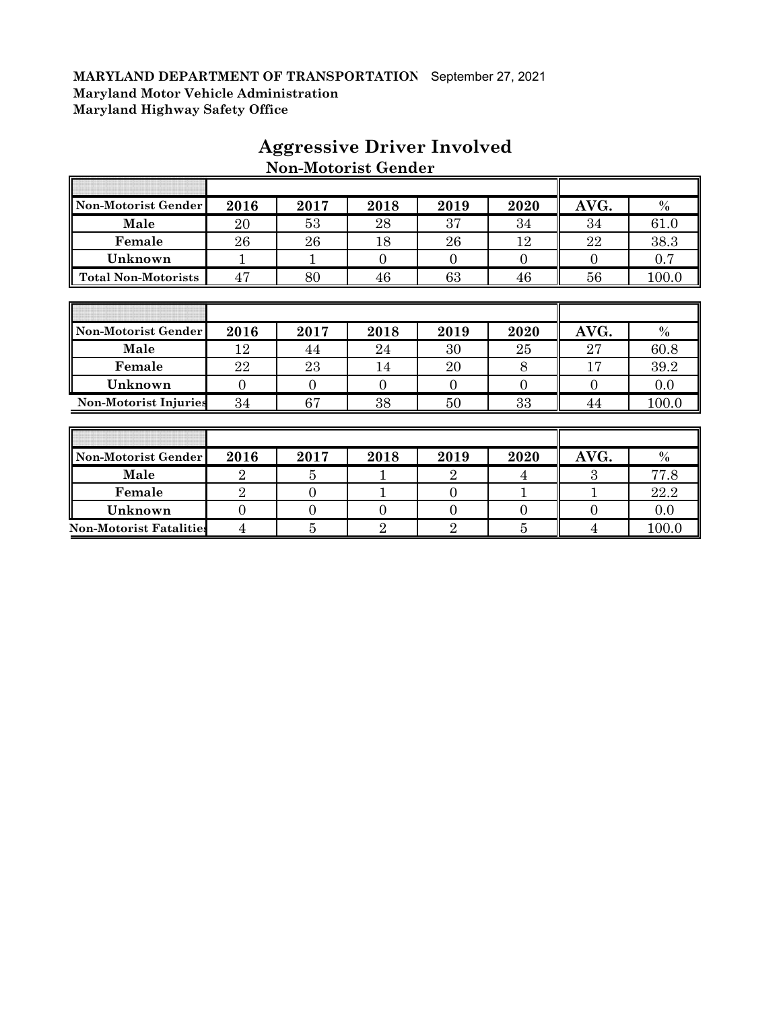| Non-Motorist Gender          | 2016           | 2017             | 2018           | 2019           | 2020           | AVG.           | $\%$  |
|------------------------------|----------------|------------------|----------------|----------------|----------------|----------------|-------|
| Male                         | 20             | 53               | 28             | 37             | 34             | 34             | 61.0  |
| Female                       | 26             | 26               | 18             | 26             | 12             | 22             | 38.3  |
| Unknown                      | $\mathbf{1}$   | 1                | $\overline{0}$ | $\Omega$       | $\Omega$       | $\overline{0}$ | 0.7   |
| <b>Total Non-Motorists</b>   | 47             | 80               | 46             | 63             | 46             | 56             | 100.0 |
|                              |                |                  |                |                |                |                |       |
|                              |                |                  |                |                |                |                |       |
| Non-Motorist Gender          | 2016           | 2017             | 2018           | 2019           | 2020           | AVG.           | $\%$  |
| Male                         | 12             | 44               | 24             | 30             | 25             | 27             | 60.8  |
| Female                       | 22             | 23               | 14             | 20             | 8              | 17             | 39.2  |
| Unknown                      | $\overline{0}$ | $\overline{0}$   | $\overline{0}$ | $\overline{0}$ | $\overline{0}$ | $\overline{0}$ | 0.0   |
| <b>Non-Motorist Injuries</b> | 34             | 67               | 38             | 50             | 33             | 44             | 100.0 |
|                              |                |                  |                |                |                |                |       |
|                              |                |                  |                |                |                |                |       |
| Non-Motorist Gender          | 2016           | 2017             | 2018           | 2019           | 2020           | AVG.           | $\%$  |
| Male                         | $\overline{2}$ | 5                |                | $\overline{2}$ | 4              | 3              | 77.8  |
| Female                       | $\overline{2}$ | $\overline{0}$   | 1              | $\overline{0}$ | 1              | $\mathbf{1}$   | 22.2  |
| Unknown                      | $\overline{0}$ | $\boldsymbol{0}$ | $\overline{0}$ | $\overline{0}$ | $\overline{0}$ | $\overline{0}$ | 0.0   |

**Non-Motorist Fatalities** 4 5 5 2 2 5 4 100.0

## **Aggressive Driver Involved Non-Motorist Gender**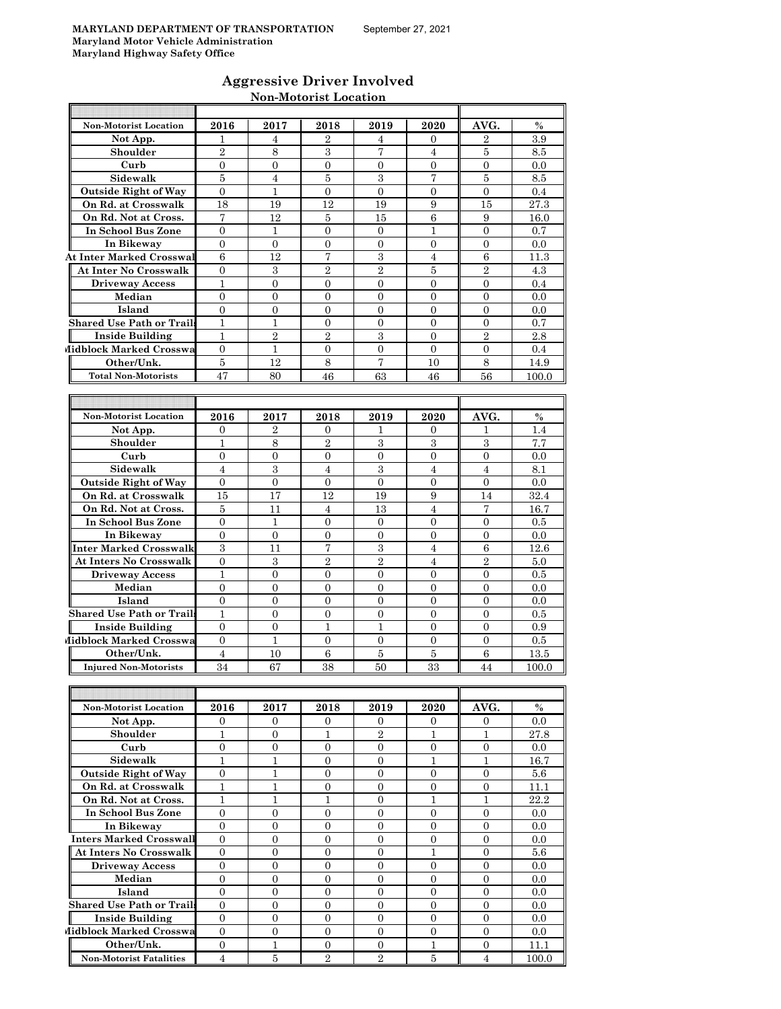| <b>Aggressive Driver Involved</b> |
|-----------------------------------|
| <b>Non-Motorist Location</b>      |

| <b>Non-Motorist Location</b>               | 2016                               | 2017                         | 2018                           | 2019                             | 2020                             | AVG.                             | $\%$        |
|--------------------------------------------|------------------------------------|------------------------------|--------------------------------|----------------------------------|----------------------------------|----------------------------------|-------------|
| Not App.                                   | 1                                  | 4                            | 2                              | 4                                | 0                                | 2                                | 3.9         |
| Shoulder                                   | $\overline{2}$                     | 8                            | 3                              | 7                                | 4                                | 5                                | 8.5         |
| Curb                                       | $\overline{0}$                     | $\overline{0}$               | $\mathbf{0}$                   | $\mathbf{0}$                     | $\overline{0}$                   | 0                                | 0.0         |
| Sidewalk                                   | 5                                  | 4                            | 5                              | 3                                | 7                                | 5                                | 8.5         |
| <b>Outside Right of Way</b>                | $\overline{0}$                     | 1                            | $\mathbf{0}$                   | $\mathbf{0}$                     | $\overline{0}$                   | $\overline{0}$                   | 0.4         |
| On Rd. at Crosswalk                        | 18                                 | 19                           | 12                             | 19                               | 9                                | 15                               | 27.3        |
| On Rd. Not at Cross.                       | 7                                  | 12                           | 5                              | 15                               | 6                                | 9                                | 16.0        |
| In School Bus Zone                         | $\theta$                           | 1                            | $\overline{0}$                 | $\mathbf{0}$                     | 1                                | $\overline{0}$                   | 0.7         |
| In Bikeway                                 | $\theta$                           | $\Omega$                     | $\Omega$                       | $\Omega$                         | $\overline{0}$                   | $\Omega$                         | 0.0         |
| <b>At Inter Marked Crosswal</b>            | 6                                  | 12                           | 7                              | 3                                | $\overline{4}$                   | 6                                | 11.3        |
| At Inter No Crosswalk                      | $\mathbf{0}$                       | 3                            | $\overline{2}$                 | 2                                | 5                                | 2                                | 4.3         |
| <b>Driveway Access</b>                     | $\mathbf{1}$                       | $\overline{0}$               | $\overline{0}$                 | $\overline{0}$                   | $\overline{0}$                   | $\overline{0}$                   | 0.4         |
| Median<br>Island                           | $\overline{0}$<br>0                | $\overline{0}$<br>0          | $\overline{0}$<br>$\mathbf{0}$ | $\overline{0}$                   | $\overline{0}$<br>$\overline{0}$ | $\overline{0}$                   | 0.0<br>0.0  |
| Shared Use Path or Trail:                  | 1                                  |                              | $\mathbf{0}$                   | 0<br>0                           | $\overline{0}$                   | 0<br>0                           |             |
| <b>Inside Building</b>                     | 1                                  | 1<br>$\overline{2}$          | $\overline{2}$                 | 3                                | $\Omega$                         | $\overline{2}$                   | 0.7<br>2.8  |
| Midblock Marked Crosswa                    | $\overline{0}$                     | 1                            | $\overline{0}$                 | $\overline{0}$                   | $\overline{0}$                   | $\overline{0}$                   | 0.4         |
| Other/Unk.                                 | 5                                  | 12                           | 8                              | 7                                | 10                               | 8                                | 14.9        |
| <b>Total Non-Motorists</b>                 | 47                                 | 80                           | 46                             | 63                               | 46                               | 56                               | 100.0       |
|                                            |                                    |                              |                                |                                  |                                  |                                  |             |
|                                            |                                    |                              |                                |                                  |                                  |                                  |             |
| <b>Non-Motorist Location</b>               | 2016                               | 2017                         | 2018                           | 2019                             | 2020                             | AVG.                             | $\%$        |
| Not App.                                   | 0                                  | 2                            | 0                              | 1                                | 0                                | ı                                | 1.4         |
| Shoulder                                   | 1                                  | 8                            | $\overline{2}$                 | 3                                | 3                                | 3                                | 7.7         |
| Curb                                       | $\overline{0}$                     | $\overline{0}$               | $\overline{0}$                 | $\overline{0}$                   | $\overline{0}$                   | $\overline{0}$                   | 0.0         |
| Sidewalk                                   | 4                                  | 3                            | $\overline{4}$                 | 3                                | 4                                | 4                                | 8.1         |
| <b>Outside Right of Way</b>                | $\overline{0}$                     | $\overline{0}$               | $\Omega$                       | $\mathbf{0}$                     | $\Omega$                         | $\overline{0}$                   | 0.0         |
| On Rd. at Crosswalk                        | 15                                 | 17                           | 12                             | 19                               | 9                                | 14                               | 32.4        |
| On Rd. Not at Cross.                       | 5                                  | 11                           | $\overline{4}$                 | 13                               | $\overline{4}$                   | 7                                | 16.7        |
| In School Bus Zone                         | 0                                  | 1                            | $\mathbf{0}$                   | 0                                | 0                                | 0                                | 0.5         |
| In Bikeway                                 | $\overline{0}$                     | $\overline{0}$               | $\overline{0}$                 | $\overline{0}$                   | $\overline{0}$                   | $\overline{0}$                   | 0.0         |
| Inter Marked Crosswalk                     | 3                                  | 11                           | 7                              | 3                                | 4                                | 6                                | 12.6        |
| At Inters No Crosswalk                     | 0                                  | 3                            | $\overline{2}$                 | $\overline{2}$                   | 4                                | $\overline{2}$                   | 5.0         |
| <b>Driveway Access</b>                     | 1                                  | $\overline{0}$               | $\mathbf{0}$                   | $\mathbf{0}$                     | $\Omega$                         | $\overline{0}$                   | $0.5\,$     |
| Median                                     | $\overline{0}$                     | $\overline{0}$               | $\overline{0}$                 | $\mathbf{0}$                     | $\overline{0}$                   | 0                                | 0.0         |
| Island                                     | $\overline{0}$                     | $\overline{0}$               | $\overline{0}$                 | $\overline{0}$                   | $\overline{0}$                   | $\overline{0}$                   | 0.0         |
| Shared Use Path or Trail:                  | 1                                  | 0                            | $\mathbf{0}$                   | $\mathbf{0}$                     | $\overline{0}$                   | 0                                | 0.5         |
| <b>Inside Building</b>                     | $\overline{0}$                     | $\overline{0}$               | 1                              | $\mathbf{1}$                     | $\mathbf{0}$                     | $\overline{0}$                   | 0.9         |
| Midblock Marked Crosswa                    | $\overline{0}$                     | $\mathbf{1}$                 | $\boldsymbol{0}$               | $\boldsymbol{0}$                 | $\overline{0}$                   | $\overline{0}$                   | 0.5         |
| Other/Unk.                                 | 4                                  | 10                           | 6                              | 5                                | 5                                | 6                                | 13.5        |
| <b>Injured Non-Motorists</b>               | 34                                 | 67                           | 38                             | 50                               | 33                               | 44                               | 100.0       |
|                                            |                                    |                              |                                |                                  |                                  |                                  |             |
|                                            |                                    |                              |                                |                                  |                                  |                                  |             |
| Non-Motorist Location                      | 2016                               | 2017                         | 2018                           | 2019                             | 2020                             | AVG.                             | $\%$        |
| Not App.                                   | 0                                  | 0                            | $\mathbf{0}$                   | 0                                | 0                                | 0                                | 0.0         |
| Shoulder                                   | $\mathbf{1}$                       | $\overline{0}$               | $\mathbf{1}$                   | $\overline{2}$                   | $\mathbf{1}$                     | $\mathbf{1}$                     | 27.8        |
| Curb                                       | $\boldsymbol{0}$                   | $\mathbf{0}$                 | $\mathbf{0}$                   | $\mathbf{0}$                     | $\boldsymbol{0}$                 | $\boldsymbol{0}$                 | 0.0         |
| Sidewalk                                   | $\mathbf{1}$                       | 1                            | 0                              | $\mathbf{0}$                     | $\mathbf 1$                      | $\mathbf 1$                      | 16.7        |
| <b>Outside Right of Way</b>                | $\overline{0}$                     | 1                            | 0                              | $\overline{0}$                   | $\mathbf{0}$                     | $\boldsymbol{0}$                 | 5.6         |
| On Rd. at Crosswalk                        | $\mathbf{1}$                       | $\mathbf{1}$                 | $\overline{0}$                 | $\overline{0}$                   | $\overline{0}$                   | $\overline{0}$                   | 11.1        |
| On Rd. Not at Cross.<br>In School Bus Zone | $\mathbf{1}$                       | $\mathbf{1}$                 | $\mathbf{1}$                   | $\overline{0}$                   | $\mathbf{1}$                     | $\mathbf{1}$                     | 22.2        |
| In Bikeway                                 | 0<br>$\overline{0}$                | 0<br>$\overline{0}$          | 0<br>$\overline{0}$            | $\overline{0}$<br>$\mathbf{0}$   | 0<br>$\overline{0}$              | 0<br>$\mathbf{0}$                | 0.0<br>0.0  |
| <b>Inters Marked Crosswall</b>             | $\overline{0}$                     | $\boldsymbol{0}$             | $\boldsymbol{0}$               | $\boldsymbol{0}$                 | $\overline{0}$                   | $\overline{0}$                   | 0.0         |
| <b>At Inters No Crosswalk</b>              | 0                                  | 0                            | 0                              | $\mathbf{0}$                     | $\mathbf 1$                      | 0                                | 5.6         |
| <b>Driveway Access</b>                     | 0                                  | 0                            | 0                              | 0                                | 0                                | 0                                | 0.0         |
| Median                                     | $\overline{0}$                     | $\overline{0}$               | $\overline{0}$                 | $\overline{0}$                   | $\overline{0}$                   | $\overline{0}$                   | 0.0         |
| Island                                     | $\overline{0}$                     | $\overline{0}$               | $\overline{0}$                 | $\mathbf{0}$                     | $\overline{0}$                   | $\boldsymbol{0}$                 | 0.0         |
| <b>Shared Use Path or Trails</b>           | 0                                  | $\overline{0}$               | 0                              | $\overline{0}$                   | 0                                | 0                                | 0.0         |
| <b>Inside Building</b>                     | $\overline{0}$                     | $\overline{0}$               | $\overline{0}$                 | $\overline{0}$                   | $\overline{0}$                   | $\mathbf{0}$                     | 0.0         |
| Midblock Marked Crosswa                    |                                    |                              |                                |                                  |                                  |                                  |             |
|                                            |                                    |                              |                                |                                  |                                  |                                  |             |
| Other/Unk.                                 | $\boldsymbol{0}$<br>$\overline{0}$ | $\mathbf{0}$<br>$\mathbf{1}$ | $\mathbf{0}$<br>$\overline{0}$ | $\overline{0}$<br>$\overline{0}$ | $\boldsymbol{0}$<br>$\mathbf{1}$ | $\overline{0}$<br>$\overline{0}$ | 0.0<br>11.1 |

**Non-Motorist Fatalities** 4 5 2 2 5 4 100.0